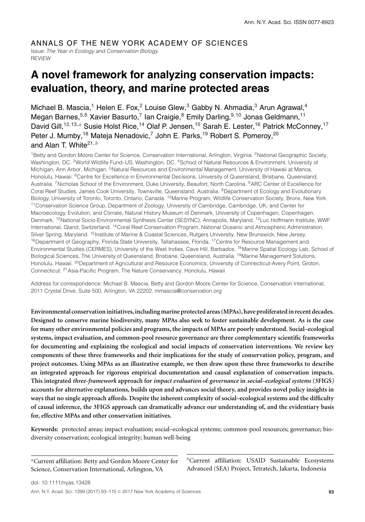# ANNALS OF THE NEW YORK ACADEMY OF SCIENCES

Issue: *The Year in Ecology and Conservation Biology* REVIEW

# **A novel framework for analyzing conservation impacts: evaluation, theory, and marine protected areas**

Michael B. Mascia,<sup>1</sup> Helen E. Fox,<sup>2</sup> Louise Glew,<sup>3</sup> Gabby N. Ahmadia,<sup>3</sup> Arun Agrawal,<sup>4</sup> Megan Barnes,<sup>5,6</sup> Xavier Basurto,<sup>7</sup> Ian Craigie,<sup>8</sup> Emily Darling, 9,10 Jonas Geldmann, 11 David Gill,<sup>12,13,a</sup> Susie Holst Rice,<sup>14</sup> Olaf P. Jensen,<sup>15</sup> Sarah E. Lester,<sup>16</sup> Patrick McConney,<sup>17</sup> Peter J. Mumby,<sup>18</sup> Mateja Nenadovic,<sup>7</sup> John E. Parks,<sup>19</sup> Robert S. Pomeroy,<sup>20</sup> and Alan T. White21,*<sup>b</sup>*

<sup>1</sup>Betty and Gordon Moore Center for Science, Conservation International, Arlington, Virginia. <sup>2</sup>National Geographic Society, Washington, DC. <sup>3</sup>World Wildlife Fund–US, Washington, DC. <sup>4</sup>School of Natural Resources & Environment, University of Michigan, Ann Arbor, Michigan. 5Natural Resources and Environmental Management, University of Hawaii at Manoa, Honolulu, Hawaii. <sup>6</sup>Centre for Excellence in Environmental Decisions, University of Queensland, Brisbane, Queensland, Australia. <sup>7</sup>Nicholas School of the Environment, Duke University, Beaufort, North Carolina. <sup>8</sup>ARC Center of Excellence for Coral Reef Studies, James Cook University, Townsville, Queensland, Australia. <sup>9</sup>Department of Ecology and Evolutionary Biology, University of Toronto, Toronto, Ontario, Canada. <sup>10</sup>Marine Program, Wildlife Conservation Society, Bronx, New York. <sup>11</sup>Conservation Science Group, Department of Zoology, University of Cambridge, Cambridge, UK; and Center for Macroecology, Evolution, and Climate, Natural History Museum of Denmark, University of Copenhagen, Copenhagen, Denmark. <sup>12</sup>National Socio-Environmental Synthesis Center (SESYNC), Annapolis, Maryland. <sup>13</sup>Luc Hoffmann Institute, WWF International, Gland, Switzerland. 14Coral Reef Conservation Program, National Oceanic and Atmospheric Administration, Silver Spring, Maryland. <sup>15</sup>Institute of Marine & Coastal Sciences, Rutgers University, New Brunswick, New Jersey. <sup>16</sup>Department of Geography, Florida State University, Tallahassee, Florida. <sup>17</sup>Centre for Resource Management and Environmental Studies (CERMES), University of the West Indies, Cave Hill, Barbados. <sup>18</sup>Marine Spatial Ecology Lab, School of Biological Sciences, The University of Queensland, Brisbane, Queensland, Australia. 19Marine Management Solutions, Honolulu, Hawaii. <sup>20</sup>Department of Agricultural and Resource Economics, University of Connecticut-Avery Point, Groton, Connecticut. 21Asia-Pacific Program, The Nature Conservancy, Honolulu, Hawaii

Address for correspondence: Michael B. Mascia, Betty and Gordon Moore Center for Science, Conservation International, 2011 Crystal Drive, Suite 500, Arlington, VA 22202. mmascia@conservation.org

**Environmental conservationinitiatives,includingmarine protected areas (MPAs), have proliferatedin recent decades. Designed to conserve marine biodiversity, many MPAs also seek to foster sustainable development. As is the case for many other environmental policies and programs, the impacts of MPAs are poorly understood. Social–ecological systems, impact evaluation, and common-pool resource governance are three complementary scientific frameworks for documenting and explaining the ecological and social impacts of conservation interventions. We review key components of these three frameworks and their implications for the study of conservation policy, program, and project outcomes. Using MPAs as an illustrative example, we then draw upon these three frameworks to describe an integrated approach for rigorous empirical documentation and causal explanation of conservation impacts. This integrated** *three-framework* **approach for** *impact evaluation* **of** *governance* **in** *social–ecological systems* **(3FIGS***)* **accounts for alternative explanations, builds upon and advances social theory, and provides novel policy insights in ways that no single approach affords. Despite the inherent complexity of social–ecological systems and the difficulty of causal inference, the 3FIGS approach can dramatically advance our understanding of, and the evidentiary basis for, effective MPAs and other conservation initiatives.**

**Keywords:** protected areas; impact evaluation; social–ecological systems; common-pool resources; governance; biodiversity conservation; ecological integrity; human well-being

*<sup>a</sup>*Current affiliation: Betty and Gordon Moore Center for Science, Conservation International, Arlington, VA

<sup>*b*</sup>Current affiliation: USAID Sustainable Ecosystems Advanced (SEA) Project, Tetratech, Jakarta, Indonesia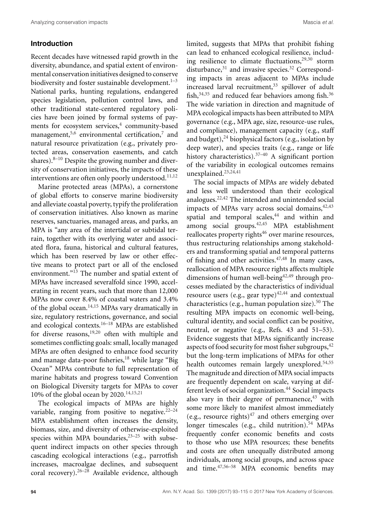#### **Introduction**

Recent decades have witnessed rapid growth in the diversity, abundance, and spatial extent of environmental conservation initiatives designed to conserve biodiversity and foster sustainable development. $1-3$ National parks, hunting regulations, endangered species legislation, pollution control laws, and other traditional state-centered regulatory policies have been joined by formal systems of payments for ecosystem services,<sup>4</sup> community-based management,<sup>5,6</sup> environmental certification, $\frac{7}{7}$  and natural resource privatization (e.g., privately protected areas, conservation easements, and catch shares). $8-10$  Despite the growing number and diversity of conservation initiatives, the impacts of these interventions are often only poorly understood.<sup>11,12</sup>

Marine protected areas (MPAs), a cornerstone of global efforts to conserve marine biodiversity and alleviate coastal poverty, typify the proliferation of conservation initiatives. Also known as marine reserves, sanctuaries, managed areas, and parks, an MPA is "any area of the intertidal or subtidal terrain, together with its overlying water and associated flora, fauna, historical and cultural features, which has been reserved by law or other effective means to protect part or all of the enclosed environment."<sup>13</sup> The number and spatial extent of MPAs have increased severalfold since 1990, accelerating in recent years, such that more than 12,000 MPAs now cover 8.4% of coastal waters and 3.4% of the global ocean.<sup>14,15</sup> MPAs vary dramatically in size, regulatory restrictions, governance, and social and ecological contexts.16–18 MPAs are established for diverse reasons,<sup>19,20</sup> often with multiple and sometimes conflicting goals: small, locally managed MPAs are often designed to enhance food security and manage data-poor fisheries, $18$  while large "Big Ocean" MPAs contribute to full representation of marine habitats and progress toward Convention on Biological Diversity targets for MPAs to cover 10% of the global ocean by 2020.<sup>14,15,21</sup>

The ecological impacts of MPAs are highly variable, ranging from positive to negative.<sup>22-24</sup> MPA establishment often increases the density, biomass, size, and diversity of otherwise-exploited species within MPA boundaries, $23-25$  with subsequent indirect impacts on other species through cascading ecological interactions (e.g., parrotfish increases, macroalgae declines, and subsequent coral recovery).<sup>26–28</sup> Available evidence, although limited, suggests that MPAs that prohibit fishing can lead to enhanced ecological resilience, including resilience to climate fluctuations, $29,30$  storm disturbance, $31$  and invasive species. $32$  Corresponding impacts in areas adjacent to MPAs include increased larval recruitment, $33$  spillover of adult fish,  $34,35$  and reduced fear behaviors among fish.  $36$ The wide variation in direction and magnitude of MPA ecological impacts has been attributed to MPA governance (e.g., MPA age, size, resource-use rules, and compliance), management capacity (e.g., staff and budget), $^{24}$  biophysical factors (e.g., isolation by deep water), and species traits (e.g., range or life history characteristics).<sup>37–40</sup> A significant portion of the variability in ecological outcomes remains unexplained.23,24,41

The social impacts of MPAs are widely debated and less well understood than their ecological analogues.22,42 The intended and unintended social impacts of MPAs vary across social domains,  $42,43$ spatial and temporal scales,<sup>44</sup> and within and among social groups. $42,45$  MPA establishment reallocates property rights $46$  over marine resources, thus restructuring relationships among stakeholders and transforming spatial and temporal patterns of fishing and other activities. $47,48$  In many cases, reallocation of MPA resource rights affects multiple dimensions of human well-being $42,49$  through processes mediated by the characteristics of individual resource users (e.g., gear type) $42,44$  and contextual characteristics (e.g., human population size).<sup>50</sup> The resulting MPA impacts on economic well-being, cultural identity, and social conflict can be positive, neutral, or negative (e.g., Refs. 43 and 51–53). Evidence suggests that MPAs significantly increase aspects of food security for most fisher subgroups,  $42$ but the long-term implications of MPAs for other health outcomes remain largely unexplored.<sup>54,55</sup> The magnitude and direction of MPA social impacts are frequently dependent on scale, varying at different levels of social organization.<sup>44</sup> Social impacts also vary in their degree of permanence, $43$  with some more likely to manifest almost immediately (e.g., resource rights)<sup>47</sup> and others emerging over longer timescales (e.g., child nutrition). $54$  MPAs frequently confer economic benefits and costs to those who use MPA resources; these benefits and costs are often unequally distributed among individuals, among social groups, and across space and time.47,56–58 MPA economic benefits may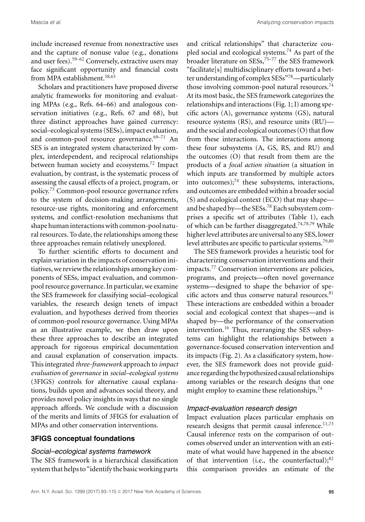include increased revenue from nonextractive uses and the capture of nonuse value (e.g., donations and user fees).59–62 Conversely, extractive users may face significant opportunity and financial costs from MPA establishment.<sup>58,63</sup>

Scholars and practitioners have proposed diverse analytic frameworks for monitoring and evaluating MPAs (e.g., Refs. 64–66) and analogous conservation initiatives (e.g., Refs. 67 and 68), but three distinct approaches have gained currency: social–ecological systems (SESs), impact evaluation, and common-pool resource governance. $69-71$  An SES is an integrated system characterized by complex, interdependent, and reciprocal relationships between human society and ecosystems.72 Impact evaluation, by contrast, is the systematic process of assessing the causal effects of a project, program, or policy.<sup>73</sup> Common-pool resource governance refers to the system of decision-making arrangements, resource-use rights, monitoring and enforcement systems, and conflict-resolution mechanisms that shape human interactions with common-pool natural resources. To date, the relationships among these three approaches remain relatively unexplored.

To further scientific efforts to document and explain variation in the impacts of conservation initiatives, we review the relationships among key components of SESs, impact evaluation, and commonpool resource governance. In particular, we examine the SES framework for classifying social–ecological variables, the research design tenets of impact evaluation, and hypotheses derived from theories of common-pool resource governance. Using MPAs as an illustrative example, we then draw upon these three approaches to describe an integrated approach for rigorous empirical documentation and causal explanation of conservation impacts. This integrated *three-framework* approach to *impact evaluation* of *governance* in *social–ecological systems* (3FIGS) controls for alternative causal explanations, builds upon and advances social theory, and provides novel policy insights in ways that no single approach affords. We conclude with a discussion of the merits and limits of 3FIGS for evaluation of MPAs and other conservation interventions.

#### **3FIGS conceptual foundations**

## *Social–ecological systems framework*

The SES framework is a hierarchical classification system that helps to "identify the basic working parts and critical relationships" that characterize coupled social and ecological systems.74 As part of the broader literature on  $SESS$ ,  $75-77$  the SES framework "facilitate[s] multidisciplinary efforts toward a better understanding of complex SESs"78—particularly those involving common-pool natural resources. $74$ At its most basic, the SES framework categorizes the relationships and interactions (Fig. 1; I) among specific actors (A), governance systems (GS), natural resource systems (RS), and resource units (RU) and the social and ecological outcomes (O) that flow from these interactions. The interactions among these four subsystems (A, GS, RS, and RU) and the outcomes (O) that result from them are the products of a *focal action situation* (a situation in which inputs are transformed by multiple actors into outcomes); $74$  these subsystems, interactions, and outcomes are embedded within a broader social (S) and ecological context (ECO) that may shape and be shaped by—the SESs.<sup>78</sup> Each subsystem comprises a specific set of attributes (Table 1), each of which can be further disaggregated.<sup>74,78,79</sup> While higher level attributes are universal to any SES, lower level attributes are specific to particular systems.<sup>79,80</sup>

The SES framework provides a heuristic tool for characterizing conservation interventions and their impacts.<sup>77</sup> Conservation interventions are policies, programs, and projects—often novel governance systems—designed to shape the behavior of specific actors and thus conserve natural resources.<sup>81</sup> These interactions are embedded within a broader social and ecological context that shapes—and is shaped by—the performance of the conservation intervention.<sup>16</sup> Thus, rearranging the SES subsystems can highlight the relationships between a governance-focused conservation intervention and its impacts (Fig. 2). As a classificatory system, however, the SES framework does not provide guidance regarding the hypothesized causal relationships among variables or the research designs that one might employ to examine these relationships.<sup>74</sup>

#### *Impact-evaluation research design*

Impact evaluation places particular emphasis on research designs that permit causal inference. $11,73$ Causal inference rests on the comparison of outcomes observed under an intervention with an estimate of what would have happened in the absence of that intervention (i.e., the counterfactual); $82$ this comparison provides an estimate of the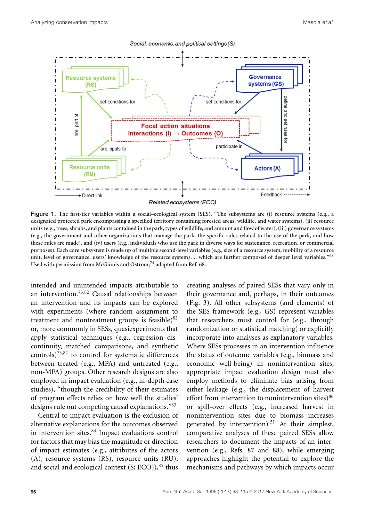

**Figure 1.** The first-tier variables within a social–ecological system (SES). "The subsystems are (i) resource systems (e.g., a **designated protected park encompassing a specified territory containing forested areas, wildlife, and water systems), (ii) resource units (e.g., trees, shrubs, and plants contained in the park, types of wildlife, and amount and flow of water), (iii) governance systems (e.g., the government and other organizations that manage the park, the specific rules related to the use of the park, and how these rules are made), and (iv) users (e.g., individuals who use the park in diverse ways for sustenance, recreation, or commercial purposes). Each core subsystem is made up of multiple second-level variables (e.g., size of a resource system, mobility of a resource unit, level of governance, users' knowledge of the resource system) . . . which are further composed of deeper level variables."**<sup>68</sup> **Used with permission from McGinnis and Ostrom;**<sup>74</sup> **adapted from Ref. 68.**

intended and unintended impacts attributable to an intervention.73,82 Causal relationships between an intervention and its impacts can be explored with experiments (where random assignment to treatment and nontreatment groups is feasible) $82$ or, more commonly in SESs, quasiexperiments that apply statistical techniques (e.g., regression discontinuity, matched comparisons, and synthetic controls) $73,82$  to control for systematic differences between treated (e.g., MPA) and untreated (e.g., non-MPA) groups. Other research designs are also employed in impact evaluation (e.g., in-depth case studies), "though the credibility of their estimates of program effects relies on how well the studies' designs rule out competing causal explanations."<sup>83</sup>

Central to impact evaluation is the exclusion of alternative explanations for the outcomes observed in intervention sites.<sup>84</sup> Impact evaluations control for factors that may bias the magnitude or direction of impact estimates (e.g., attributes of the actors (A), resource systems (RS), resource units (RU), and social and ecological context  $(S; ECO)$ ,  $85$  thus

creating analyses of paired SESs that vary only in their governance and, perhaps, in their outcomes (Fig. 3). All other subsystems (and elements) of the SES framework (e.g., GS) represent variables that researchers must control for (e.g., through randomization or statistical matching) or explicitly incorporate into analyses as explanatory variables. Where SESs processes in an intervention influence the status of outcome variables (e.g., biomass and economic well-being) in nonintervention sites, appropriate impact evaluation design must also employ methods to eliminate bias arising from either leakage (e.g., the displacement of harvest effort from intervention to nonintervention sites) $86$ or spill-over effects (e.g., increased harvest in nonintervention sites due to biomass increases generated by intervention).<sup>51</sup> At their simplest, comparative analyses of these paired SESs allow researchers to document the impacts of an intervention (e.g., Refs. 87 and 88), while emerging approaches highlight the potential to explore the mechanisms and pathways by which impacts occur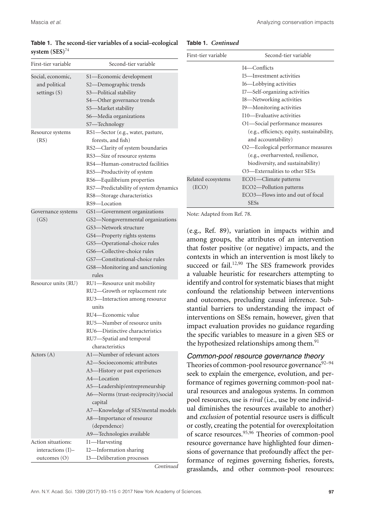|                     | <b>Table 1.</b> The second-tier variables of a social–ecological |
|---------------------|------------------------------------------------------------------|
| system $(SES)^{74}$ |                                                                  |

| First-tier variable        | Second-tier variable                                              |                                            | I4-Conflict   |
|----------------------------|-------------------------------------------------------------------|--------------------------------------------|---------------|
| Social, economic,          | S1-Economic development                                           |                                            | I5-Investme   |
| and political              | S2-Demographic trends                                             |                                            | I6-Lobbyin    |
| settings (S)               | S3-Political stability                                            |                                            | I7—Self-orga  |
|                            | S4-Other governance trends                                        |                                            | I8-Network    |
|                            | S5-Market stability                                               |                                            | I9-Monitor    |
|                            | S6-Media organizations                                            |                                            | I10-Evaluat   |
|                            | S7-Technology                                                     |                                            | O1-Social p   |
| Resource systems           | RS1-Sector (e.g., water, pasture,                                 |                                            | (e.g., effici |
| (RS)                       | forests, and fish)                                                |                                            | and accou     |
|                            | RS2—Clarity of system boundaries                                  |                                            | $O2$ -Ecologi |
|                            | RS3-Size of resource systems                                      |                                            | (e.g., overl  |
|                            | RS4-Human-constructed facilities                                  |                                            | biodiversit   |
|                            | RS5-Productivity of system                                        |                                            | O3-Externa    |
|                            | RS6-Equilibrium properties                                        | Related ecosystems                         | ECO1-Clin     |
|                            | RS7-Predictability of system dynamics                             | (ECO)                                      | ECO2—Polli    |
|                            | RS8-Storage characteristics                                       |                                            | ECO3—Flov     |
|                            | RS9-Location                                                      |                                            | <b>SESs</b>   |
| Governance systems<br>(GS) | GS1-Government organizations<br>GS2-Nongovernmental organizations | Note: Adapted from Ref. 78.                |               |
|                            | GS3-Network structure                                             |                                            |               |
|                            | GS4-Property rights systems                                       | (e.g., Ref. 89), variation in              |               |
|                            | GS5-Operational-choice rules                                      | among groups, the attribute                |               |
|                            | GS6-Collective-choice rules                                       | that foster positive (or negat             |               |
|                            | GS7-Constitutional-choice rules                                   | contexts in which an interver              |               |
|                            | GS8-Monitoring and sanctioning                                    | succeed or fail. <sup>12,90</sup> The SES  |               |
|                            | rules                                                             | a valuable heuristic for resea             |               |
| Resource units (RU)        | RU1-Resource unit mobility                                        | identify and control for systen            |               |
|                            | RU2-Growth or replacement rate                                    | confound the relationship b                |               |
|                            | RU3-Interaction among resource                                    | and outcomes, precluding ca                |               |
|                            | units                                                             | stantial barriers to understa              |               |
|                            | RU4-Economic value                                                | interventions on SESs remain               |               |
|                            | RU5-Number of resource units                                      |                                            |               |
|                            | RU6-Distinctive characteristics                                   | impact evaluation provides n               |               |
|                            | RU7-Spatial and temporal                                          | the specific variables to meas             |               |
|                            | characteristics                                                   | the hypothesized relationship              |               |
| Actors (A)                 | A1-Number of relevant actors                                      | Common-pool resource go                    |               |
|                            | A2-Socioeconomic attributes                                       | Theories of common-pool res                |               |
|                            | A3-History or past experiences                                    | seek to explain the emergenc               |               |
|                            | A4-Location                                                       | formance of regimes governir               |               |
|                            | A5-Leadership/entrepreneurship                                    | ural resources and analogous               |               |
|                            | A6-Norms (trust-reciprocity)/social                               | pool resources, use is <i>rival</i> (i.e.  |               |
|                            | capital                                                           | ual diminishes the resources               |               |
|                            | A7-Knowledge of SES/mental models<br>A8-Importance of resource    | and exclusion of potential reso            |               |
|                            | (dependence)                                                      | or costly, creating the potentia           |               |
|                            |                                                                   | of scarce resources. <sup>95,96</sup> Theo |               |
| Action situations:         | A9-Technologies available<br>I1-Harvesting                        |                                            |               |
| interactions $(I)$ -       | I2-Information sharing                                            | resource governance have hig               |               |
| outcomes (O)               | I3-Deliberation processes                                         | sions of governance that prof              |               |
|                            |                                                                   | formance of regimes govern                 |               |

*Continued*

#### **Table 1.** *Continued*

| First-tier variable | Second-tier variable                       |  |  |  |
|---------------------|--------------------------------------------|--|--|--|
|                     | I4-Conflicts                               |  |  |  |
|                     | I5—Investment activities                   |  |  |  |
|                     | I6—Lobbying activities                     |  |  |  |
|                     | I7—Self-organizing activities              |  |  |  |
|                     | I8-Networking activities                   |  |  |  |
|                     | I9—Monitoring activities                   |  |  |  |
|                     | I10—Evaluative activities                  |  |  |  |
|                     | O1—Social performance measures             |  |  |  |
|                     | (e.g., efficiency, equity, sustainability, |  |  |  |
|                     | and accountability)                        |  |  |  |
|                     | O2—Ecological performance measures         |  |  |  |
|                     | (e.g., overharvested, resilience,          |  |  |  |
|                     | biodiversity, and sustainability)          |  |  |  |
|                     | O3—Externalities to other SESs             |  |  |  |
| Related ecosystems  | ECO1-Climate patterns                      |  |  |  |
| (ECO)               | ECO2-Pollution patterns                    |  |  |  |
|                     | ECO3—Flows into and out of focal           |  |  |  |
|                     | <b>SESs</b>                                |  |  |  |

impacts within and es of an intervention tive) impacts, and the ntion is most likely to framework provides archers attempting to natic biases that might between interventions ausal inference. Subinding the impact of n, however, given that no guidance regarding sure in a given SES or s among them.<sup>91</sup>

# *Common-pool resource governance theory*

ource governance<sup>92–94</sup> e, evolution, and perng common-pool natsystems. In common e., use by one individavailable to another) ource users is difficult al for overexploitation ries of common-pool ghlighted four dimensions of governance the pering fisheries, forests, grasslands, and other common-pool resources: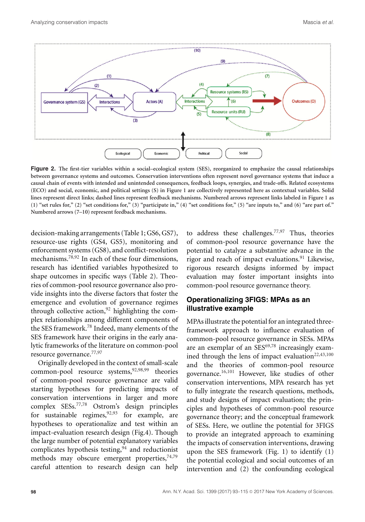

**Figure 2. The first-tier variables within a social–ecological system (SES), reorganized to emphasize the causal relationships between governance systems and outcomes. Conservation interventions often represent novel governance systems that induce a causal chain of events with intended and unintended consequences, feedback loops, synergies, and trade-offs. Related ecosystems (ECO) and social, economic, and political settings (S) in Figure 1 are collectively represented here as contextual variables. Solid lines represent direct links; dashed lines represent feedback mechanisms. Numbered arrows represent links labeled in Figure 1 as (1) "set rules for," (2) "set conditions for," (3) "participate in," (4) "set conditions for," (5) "are inputs to," and (6) "are part of." Numbered arrows (7–10) represent feedback mechanisms.**

decision-making arrangements (Table 1; GS6, GS7), resource-use rights (GS4, GS5), monitoring and enforcement systems (GS8), and conflict-resolution mechanisms.78,92 In each of these four dimensions, research has identified variables hypothesized to shape outcomes in specific ways (Table 2). Theories of common-pool resource governance also provide insights into the diverse factors that foster the emergence and evolution of governance regimes through collective action,  $92$  highlighting the complex relationships among different components of the SES framework.78 Indeed, many elements of the SES framework have their origins in the early analytic frameworks of the literature on common-pool resource governance.77,97

Originally developed in the context of small-scale common-pool resource systems, $92,98,99$  theories of common-pool resource governance are valid starting hypotheses for predicting impacts of conservation interventions in larger and more complex SESs.77,78 Ostrom's design principles for sustainable regimes,  $92,93$  for example, are hypotheses to operationalize and test within an impact-evaluation research design (Fig.4). Though the large number of potential explanatory variables complicates hypothesis testing, $94$  and reductionist methods may obscure emergent properties,<sup>74,79</sup> careful attention to research design can help

to address these challenges. $77,97$  Thus, theories of common-pool resource governance have the potential to catalyze a substantive advance in the rigor and reach of impact evaluations.<sup>91</sup> Likewise, rigorous research designs informed by impact evaluation may foster important insights into common-pool resource governance theory.

# **Operationalizing 3FIGS: MPAs as an illustrative example**

MPAs illustrate the potential for an integrated threeframework approach to influence evaluation of common-pool resource governance in SESs. MPAs are an exemplar of an SES<sup>69,78</sup> increasingly examined through the lens of impact evaluation<sup>22,43,100</sup> and the theories of common-pool resource governance.16,101 However, like studies of other conservation interventions, MPA research has yet to fully integrate the research questions, methods, and study designs of impact evaluation; the principles and hypotheses of common-pool resource governance theory; and the conceptual framework of SESs. Here, we outline the potential for 3FIGS to provide an integrated approach to examining the impacts of conservation interventions, drawing upon the SES framework (Fig. 1) to identify (1) the potential ecological and social outcomes of an intervention and (2) the confounding ecological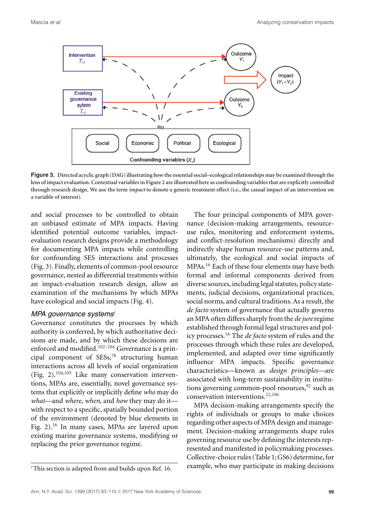

**Figure 3. Directed acyclic graph (DAG) illustrating how the essential social–ecological relationships may be examined through the lens of impact evaluation. Contextual variables in Figure 2 are illustrated here as confounding variables that are explicitly controlled through research design. We use the term** *impact* **to denote a generic treatment effect (i.e., the causal impact of an intervention on a variable of interest).**

and social processes to be controlled to obtain an unbiased estimate of MPA impacts. Having identified potential outcome variables, impactevaluation research designs provide a methodology for documenting MPA impacts while controlling for confounding SES interactions and processes (Fig. 3). Finally, elements of common-pool resource governance, nested as differential treatments within an impact-evaluation research design, allow an examination of the mechanisms by which MPAs have ecological and social impacts (Fig. 4).

## *MPA governance systems<sup>c</sup>*

Governance constitutes the processes by which authority is conferred, by which authoritative decisions are made, and by which these decisions are enforced and modified.<sup>102-104</sup> Governance is a principal component of SESs,<sup>78</sup> structuring human interactions across all levels of social organization (Fig. 2).104,105 Like many conservation interventions, MPAs are, essentially, novel governance systems that explicitly or implicitly define *who* may do *what—*and *where*, *when*, and *how* they may do it with respect to a specific, spatially bounded portion of the environment (denoted by blue elements in Fig. 2).<sup>16</sup> In many cases, MPAs are layered upon existing marine governance systems, modifying or replacing the prior governance regime.

The four principal components of MPA governance (decision-making arrangements, resourceuse rules, monitoring and enforcement systems, and conflict-resolution mechanisms) directly and indirectly shape human resource-use patterns and, ultimately, the ecological and social impacts of MPAs.<sup>16</sup> Each of these four elements may have both formal and informal components derived from diverse sources, including legal statutes, policy statements, judicial decisions, organizational practices, social norms, and cultural traditions. As a result, the *de facto* system of governance that actually governs an MPA often differs sharply from the *de jure*regime established through formal legal structures and policy processes.<sup>16</sup> The *de facto* system of rules and the processes through which these rules are developed, implemented, and adapted over time significantly influence MPA impacts. Specific governance characteristics—known as *design principles—*are associated with long-term sustainability in institutions governing common-pool resources,<sup>92</sup> such as conservation interventions.22,106

MPA decision-making arrangements specify the rights of individuals or groups to make choices regarding other aspects of MPA design and management. Decision-making arrangements shape rules governing resource use by defining the interests represented and manifested in policymaking processes. Collective-choice rules (Table 1;  $G56$ ) determine, for example, who may participate in making decisions

*<sup>c</sup>*This section is adapted from and builds upon Ref. 16.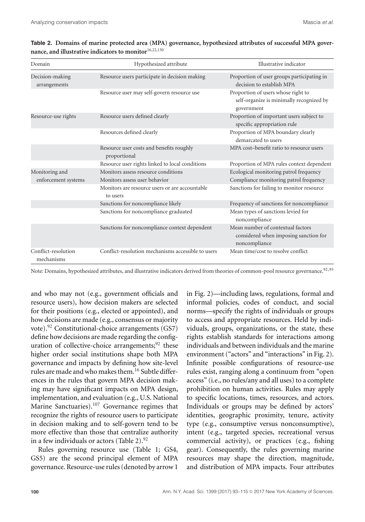| Domain                            | Hypothesized attribute                                     | Illustrative indicator                                                                       |
|-----------------------------------|------------------------------------------------------------|----------------------------------------------------------------------------------------------|
| Decision-making<br>arrangements   | Resource users participate in decision making              | Proportion of user groups participating in<br>decision to establish MPA                      |
|                                   | Resource user may self-govern resource use                 | Proportion of users whose right to<br>self-organize is minimally recognized by<br>government |
| Resource-use rights               | Resource users defined clearly                             | Proportion of important users subject to<br>specific appropriation rule                      |
|                                   | Resources defined clearly                                  | Proportion of MPA boundary clearly<br>demarcated to users                                    |
|                                   | Resource user costs and benefits roughly<br>proportional   | MPA cost-benefit ratio to resource users                                                     |
|                                   | Resource user rights linked to local conditions            | Proportion of MPA rules context dependent                                                    |
| Monitoring and                    | Monitors assess resource conditions                        | Ecological monitoring patrol frequency                                                       |
| enforcement systems               | Monitors assess user behavior                              | Compliance monitoring patrol frequency                                                       |
|                                   | Monitors are resource users or are accountable<br>to users | Sanctions for failing to monitor resource                                                    |
|                                   | Sanctions for noncompliance likely                         | Frequency of sanctions for noncompliance                                                     |
|                                   | Sanctions for noncompliance graduated                      | Mean types of sanctions levied for<br>noncompliance                                          |
|                                   | Sanctions for noncompliance context dependent              | Mean number of contextual factors<br>considered when imposing sanction for<br>noncompliance  |
| Conflict-resolution<br>mechanisms | Conflict-resolution mechanisms accessible to users         | Mean time/cost to resolve conflict                                                           |

#### **Table 2. Domains of marine protected area (MPA) governance, hypothesized attributes of successful MPA governance, and illustrative indicators to monitor**16,22,130

Note: Domains, hypothesized attributes, and illustrative indicators derived from theories of common-pool resource governance.<sup>92,93</sup>

and who may not (e.g., government officials and resource users), how decision makers are selected for their positions (e.g., elected or appointed), and how decisions are made (e.g., consensus or majority vote). $92$  Constitutional-choice arrangements (GS7) define how decisions are made regarding the configuration of collective-choice arrangements;  $92$  these higher order social institutions shape both MPA governance and impacts by defining how site-level rules are made and who makes them.<sup>16</sup> Subtle differences in the rules that govern MPA decision making may have significant impacts on MPA design, implementation, and evaluation (e.g., U.S. National Marine Sanctuaries).<sup>107</sup> Governance regimes that recognize the rights of resource users to participate in decision making and to self-govern tend to be more effective than those that centralize authority in a few individuals or actors (Table 2). $92$ 

Rules governing resource use (Table 1; GS4, GS5) are the second principal element of MPA governance. Resource-use rules (denoted by arrow 1 in Fig. 2)—including laws, regulations, formal and informal policies, codes of conduct, and social norms—specify the rights of individuals or groups to access and appropriate resources. Held by individuals, groups, organizations, or the state, these rights establish standards for interactions among individuals and between individuals and the marine environment ("actors" and "interactions" in Fig. 2). Infinite possible configurations of resource-use rules exist, ranging along a continuum from "open access" (i.e., no rules/any and all uses) to a complete prohibition on human activities. Rules may apply to specific locations, times, resources, and actors. Individuals or groups may be defined by actors' identities, geographic proximity, tenure, activity type (e.g., consumptive versus nonconsumptive), intent (e.g., targeted species, recreational versus commercial activity), or practices (e.g., fishing gear). Consequently, the rules governing marine resources may shape the direction, magnitude, and distribution of MPA impacts. Four attributes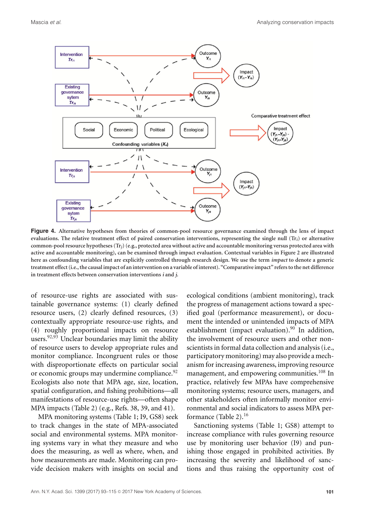

**Figure 4. Alternative hypotheses from theories of common-pool resource governance examined through the lens of impact evaluations. The relative treatment effect of paired conservation interventions, representing the single null (Tr***i***) or alternative common-pool resource hypotheses (Tr***j***) (e.g., protected area without active and accountable monitoring versus protected area with active and accountable monitoring), can be examined through impact evaluation. Contextual variables in Figure 2 are illustrated here as confounding variables that are explicitly controlled through research design. We use the term** *impact* **to denote a generic treatment effect (i.e., the causal impact of an intervention on a variable of interest). "Comparative impact" refers to the net difference in treatment effects between conservation interventions** *i* **and** *j***.**

of resource-use rights are associated with sustainable governance systems: (1) clearly defined resource users, (2) clearly defined resources, (3) contextually appropriate resource-use rights, and (4) roughly proportional impacts on resource users. $92,93$  Unclear boundaries may limit the ability of resource users to develop appropriate rules and monitor compliance. Incongruent rules or those with disproportionate effects on particular social or economic groups may undermine compliance.<sup>92</sup> Ecologists also note that MPA age, size, location, spatial configuration, and fishing prohibitions—all manifestations of resource-use rights—often shape MPA impacts (Table 2) (e.g., Refs. 38, 39, and 41).

MPA monitoring systems (Table 1; I9, GS8) seek to track changes in the state of MPA-associated social and environmental systems. MPA monitoring systems vary in what they measure and who does the measuring, as well as where, when, and how measurements are made. Monitoring can provide decision makers with insights on social and

ecological conditions (ambient monitoring), track the progress of management actions toward a specified goal (performance measurement), or document the intended or unintended impacts of MPA establishment (impact evaluation). $90$  In addition, the involvement of resource users and other nonscientists in formal data collection and analysis (i.e., participatory monitoring) may also provide a mechanism for increasing awareness, improving resource management, and empowering communities.<sup>108</sup> In practice, relatively few MPAs have comprehensive monitoring systems; resource users, managers, and other stakeholders often informally monitor environmental and social indicators to assess MPA performance (Table 2).16

Sanctioning systems (Table 1; GS8) attempt to increase compliance with rules governing resource use by monitoring user behavior (I9) and punishing those engaged in prohibited activities. By increasing the severity and likelihood of sanctions and thus raising the opportunity cost of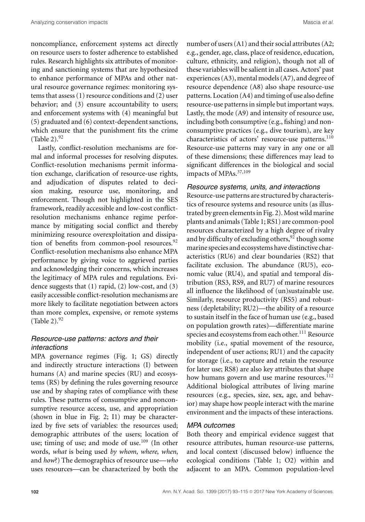noncompliance, enforcement systems act directly on resource users to foster adherence to established rules. Research highlights six attributes of monitoring and sanctioning systems that are hypothesized to enhance performance of MPAs and other natural resource governance regimes: monitoring systems that assess (1) resource conditions and (2) user behavior; and (3) ensure accountability to users; and enforcement systems with (4) meaningful but (5) graduated and (6) context-dependent sanctions, which ensure that the punishment fits the crime (Table 2). $92$ 

Lastly, conflict-resolution mechanisms are formal and informal processes for resolving disputes. Conflict-resolution mechanisms permit information exchange, clarification of resource-use rights, and adjudication of disputes related to decision making, resource use, monitoring, and enforcement. Though not highlighted in the SES framework, readily accessible and low-cost conflictresolution mechanisms enhance regime performance by mitigating social conflict and thereby minimizing resource overexploitation and dissipation of benefits from common-pool resources.<sup>92</sup> Conflict-resolution mechanisms also enhance MPA performance by giving voice to aggrieved parties and acknowledging their concerns, which increases the legitimacy of MPA rules and regulations. Evidence suggests that  $(1)$  rapid,  $(2)$  low-cost, and  $(3)$ easily accessible conflict-resolution mechanisms are more likely to facilitate negotiation between actors than more complex, expensive, or remote systems (Table 2). $92$ 

# *Resource-use patterns: actors and their interactions*

MPA governance regimes (Fig. 1; GS) directly and indirectly structure interactions (I) between humans (A) and marine species (RU) and ecosystems (RS) by defining the rules governing resource use and by shaping rates of compliance with these rules. These patterns of consumptive and nonconsumptive resource access, use, and appropriation (shown in blue in Fig. 2; I1) may be characterized by five sets of variables: the resources used; demographic attributes of the users; location of use; timing of use; and mode of use.<sup>109</sup> (In other words, *what* is being used *by whom, where*, *when*, and *how*?) The demographics of resource use—*who* uses resources—can be characterized by both the

number of users (A1) and their social attributes (A2; e.g., gender, age, class, place of residence, education, culture, ethnicity, and religion), though not all of these variables will be salient in all cases. Actors' past experiences  $(A3)$ , mental models  $(A7)$ , and degree of resource dependence (A8) also shape resource-use patterns. Location (A4) and timing of use also define resource-use patterns in simple but important ways. Lastly, the mode (A9) and intensity of resource use, including both consumptive (e.g., fishing) and nonconsumptive practices (e.g., dive tourism), are key characteristics of actors' resource-use patterns.<sup>110</sup> Resource-use patterns may vary in any one or all of these dimensions; these differences may lead to significant differences in the biological and social impacts of MPAs.<sup>37,109</sup>

#### *Resource systems, units, and interactions*

Resource-use patterns are structured by characteristics of resource systems and resource units (as illustrated by green elements in Fig. 2).Most wild marine plants and animals (Table 1; RS1) are common-pool resources characterized by a high degree of rivalry and by difficulty of excluding others,  $92$  though some marine species and ecosystems have distinctive characteristics (RU6) and clear boundaries (RS2) that facilitate exclusion. The abundance (RU5), economic value (RU4), and spatial and temporal distribution (RS3, RS9, and RU7) of marine resources all influence the likelihood of (un)sustainable use. Similarly, resource productivity (RS5) and robustness (depletability; RU2)—the ability of a resource to sustain itself in the face of human use (e.g., based on population growth rates)—differentiate marine species and ecosystems from each other.<sup>111</sup> Resource mobility (i.e., spatial movement of the resource, independent of user actions; RU1) and the capacity for storage (i.e., to capture and retain the resource for later use; RS8) are also key attributes that shape how humans govern and use marine resources.<sup>112</sup> Additional biological attributes of living marine resources (e.g., species, size, sex, age, and behavior) may shape how people interact with the marine environment and the impacts of these interactions.

#### *MPA outcomes*

Both theory and empirical evidence suggest that resource attributes, human resource-use patterns, and local context (discussed below) influence the ecological conditions (Table 1; O2) within and adjacent to an MPA. Common population-level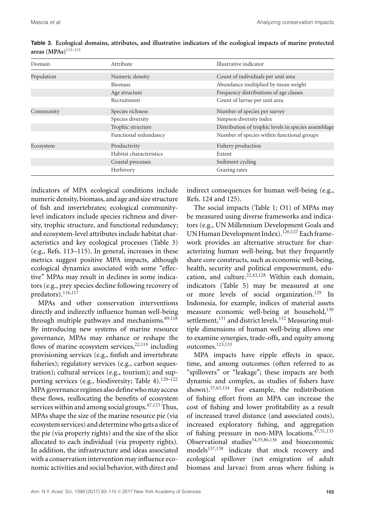| Attribute<br>Domain |                         | Illustrative indicator                               |
|---------------------|-------------------------|------------------------------------------------------|
| Population          | Numeric density         | Count of individuals per unit area                   |
|                     | <b>Biomass</b>          | Abundance multiplied by mean weight                  |
|                     | Age structure           | Frequency distributions of age classes               |
|                     | Recruitment             | Count of larvae per unit area                        |
| Community           | Species richness        | Number of species per survey                         |
|                     | Species diversity       | Simpson diversity index                              |
|                     | Trophic structure       | Distribution of trophic levels in species assemblage |
|                     | Functional redundancy   | Number of species within functional groups           |
| Ecosystem           | Productivity            | Fishery production                                   |
|                     | Habitat characteristics | Extent                                               |
|                     | Coastal processes       | Sediment cycling                                     |
|                     | Herbivory               | Grazing rates                                        |

| Table 3. Ecological domains, attributes, and illustrative indicators of the ecological impacts of marine protected |  |  |  |  |  |
|--------------------------------------------------------------------------------------------------------------------|--|--|--|--|--|
| areas $(MPAs)^{113-115}$                                                                                           |  |  |  |  |  |

indicators of MPA ecological conditions include numeric density, biomass, and age and size structure of fish and invertebrates; ecological communitylevel indicators include species richness and diversity, trophic structure, and functional redundancy; and ecosystem-level attributes include habitat characteristics and key ecological processes (Table 3) (e.g., Refs. 113–115). In general, increases in these metrics suggest positive MPA impacts, although ecological dynamics associated with some "effective" MPAs may result in declines in some indicators (e.g., prey species decline following recovery of predators).<sup>116,117</sup>

MPAs and other conservation interventions directly and indirectly influence human well-being through multiple pathways and mechanisms.<sup>89,118</sup> By introducing new systems of marine resource governance, MPAs may enhance or reshape the flows of marine ecosystem services, $22,119$  including provisioning services (e.g., finfish and invertebrate fisheries); regulatory services (e.g., carbon sequestration); cultural services (e.g., tourism); and supporting services (e.g., biodiversity; Table 4).<sup>120-122</sup> MPA governance regimes also definewhomay access these flows, reallocating the benefits of ecosystem services within and among social groups. $47,123$  Thus, MPAs shape the size of the marine resource pie (via ecosystem services) and determine who gets a slice of the pie (via property rights) and the size of the slice allocated to each individual (via property rights). In addition, the infrastructure and ideas associated with a conservation intervention may influence economic activities and social behavior, with direct and

indirect consequences for human well-being (e.g., Refs. 124 and 125).

The social impacts (Table 1; O1) of MPAs may be measured using diverse frameworks and indicators (e.g., UN Millennium Development Goals and UN Human Development Index).<sup>126,127</sup> Each framework provides an alternative structure for characterizing human well-being, but they frequently share core constructs, such as economic well-being, health, security and political empowerment, education, and culture.<sup>22,43,128</sup> Within each domain, indicators (Table 5) may be measured at one or more levels of social organization.<sup>129</sup> In Indonesia, for example, indices of material assets measure economic well-being at household, $130$ settlement, $^{131}$  and district levels. $^{132}$  Measuring multiple dimensions of human well-being allows one to examine synergies, trade-offs, and equity among outcomes.123,133

MPA impacts have ripple effects in space, time, and among outcomes (often referred to as "spillovers" or "leakage"; these impacts are both dynamic and complex, as studies of fishers have shown).57,63,134 For example, the redistribution of fishing effort from an MPA can increase the cost of fishing and lower profitability as a result of increased travel distance (and associated costs), increased exploratory fishing, and aggregation of fishing pressure in non-MPA locations.47,51,135 Observational studies $34,35,86,136$  and bioeconomic models<sup>137,138</sup> indicate that stock recovery and ecological spillover (net emigration of adult biomass and larvae) from areas where fishing is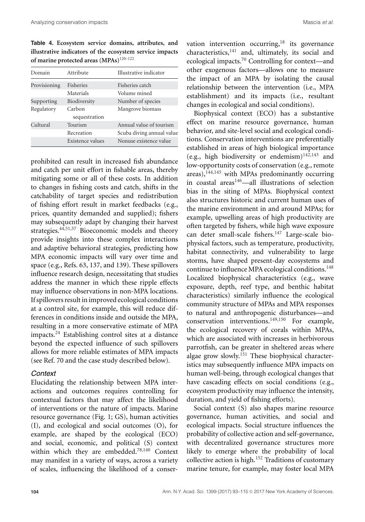**Table 4. Ecosystem service domains, attributes, and illustrative indicators of the ecosystem service impacts of marine protected areas (MPAs)**120–122

| Domain       | Attribute               | Illustrative indicator    |
|--------------|-------------------------|---------------------------|
| Provisioning | Fisheries               | Fisheries catch           |
|              | Materials               | Volume mined              |
| Supporting   | Biodiversity            | Number of species         |
| Regulatory   | Carbon<br>sequestration | Mangrove biomass          |
| Cultural     | Tourism                 | Annual value of tourism   |
|              | Recreation              | Scuba diving annual value |
|              | Existence values        | Nonuse existence value    |

prohibited can result in increased fish abundance and catch per unit effort in fishable areas, thereby mitigating some or all of these costs. In addition to changes in fishing costs and catch, shifts in the catchability of target species and redistribution of fishing effort result in market feedbacks (e.g., prices, quantity demanded and supplied); fishers may subsequently adapt by changing their harvest strategies.<sup>44,51,57</sup> Bioeconomic models and theory provide insights into these complex interactions and adaptive behavioral strategies, predicting how MPA economic impacts will vary over time and space (e.g., Refs. 63, 137, and 139). These spillovers influence research design, necessitating that studies address the manner in which these ripple effects may influence observations in non-MPA locations. If spillovers result in improved ecological conditions at a control site, for example, this will reduce differences in conditions inside and outside the MPA, resulting in a more conservative estimate of MPA impacts.<sup>24</sup> Establishing control sites at a distance beyond the expected influence of such spillovers allows for more reliable estimates of MPA impacts (see Ref. 70 and the case study described below).

#### *Context*

Elucidating the relationship between MPA interactions and outcomes requires controlling for contextual factors that may affect the likelihood of interventions or the nature of impacts. Marine resource governance (Fig. 1; GS), human activities (I), and ecological and social outcomes (O), for example, are shaped by the ecological (ECO) and social, economic, and political (S) context within which they are embedded.<sup>78,140</sup> Context may manifest in a variety of ways, across a variety of scales, influencing the likelihood of a conservation intervention occurring,<sup>18</sup> its governance characteristics,<sup>141</sup> and, ultimately, its social and ecological impacts.70 Controlling for context—and other exogenous factors—allows one to measure the impact of an MPA by isolating the causal relationship between the intervention (i.e., MPA establishment) and its impacts (i.e., resultant changes in ecological and social conditions).

Biophysical context (ECO) has a substantive effect on marine resource governance, human behavior, and site-level social and ecological conditions. Conservation interventions are preferentially established in areas of high biological importance (e.g., high biodiversity or endemism) $142,143$  and low-opportunity costs of conservation (e.g., remote areas), $144,145$  with MPAs predominantly occurring in coastal areas<sup>146</sup>—all illustrations of selection bias in the siting of MPAs. Biophysical context also structures historic and current human uses of the marine environment in and around MPAs; for example, upwelling areas of high productivity are often targeted by fishers, while high wave exposure can deter small-scale fishers.147 Large-scale biophysical factors, such as temperature, productivity, habitat connectivity, and vulnerability to large storms, have shaped present-day ecosystems and continue to influence MPA ecological conditions.<sup>148</sup> Localized biophysical characteristics (e.g., wave exposure, depth, reef type, and benthic habitat characteristics) similarly influence the ecological community structure of MPAs and MPA responses to natural and anthropogenic disturbances—and conservation interventions.149,150 For example, the ecological recovery of corals within MPAs, which are associated with increases in herbivorous parrotfish, can be greater in sheltered areas where algae grow slowly.<sup>151</sup> These biophysical characteristics may subsequently influence MPA impacts on human well-being, through ecological changes that have cascading effects on social conditions (e.g., ecosystem productivity may influence the intensity, duration, and yield of fishing efforts).

Social context (S) also shapes marine resource governance, human activities, and social and ecological impacts. Social structure influences the probability of collective action and self-governance, with decentralized governance structures more likely to emerge where the probability of local collective action is high.<sup>152</sup> Traditions of customary marine tenure, for example, may foster local MPA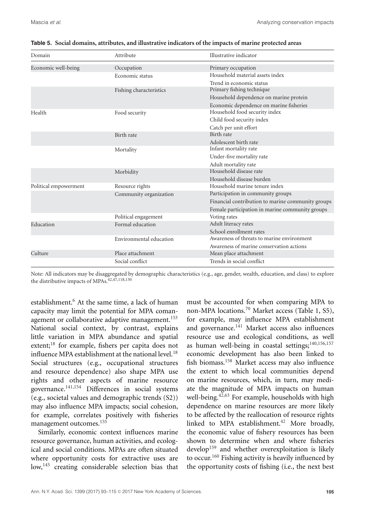| Domain                | Attribute               | Illustrative indicator                            |  |  |
|-----------------------|-------------------------|---------------------------------------------------|--|--|
| Economic well-being   | Occupation              | Primary occupation                                |  |  |
|                       | Economic status         | Household material assets index                   |  |  |
|                       |                         | Trend in economic status                          |  |  |
|                       | Fishing characteristics | Primary fishing technique                         |  |  |
|                       |                         | Household dependence on marine protein            |  |  |
|                       |                         | Economic dependence on marine fisheries           |  |  |
| Health                | Food security           | Household food security index                     |  |  |
|                       |                         | Child food security index                         |  |  |
|                       |                         | Catch per unit effort                             |  |  |
|                       | Birth rate              | Birth rate                                        |  |  |
|                       |                         | Adolescent birth rate                             |  |  |
|                       | Mortality               | Infant mortality rate                             |  |  |
|                       |                         | Under-five mortality rate                         |  |  |
|                       |                         | Adult mortality rate                              |  |  |
|                       | Morbidity               | Household disease rate                            |  |  |
|                       |                         | Household disease burden                          |  |  |
| Political empowerment | Resource rights         | Household marine tenure index                     |  |  |
|                       | Community organization  | Participation in community groups                 |  |  |
|                       |                         | Financial contribution to marine community groups |  |  |
|                       |                         | Female participation in marine community groups   |  |  |
|                       | Political engagement    | Voting rates                                      |  |  |
| Education             | Formal education        | Adult literacy rates                              |  |  |
|                       |                         | School enrollment rates                           |  |  |
|                       | Environmental education | Awareness of threats to marine environment        |  |  |
|                       |                         | Awareness of marine conservation actions          |  |  |
| Culture               | Place attachment        | Mean place attachment                             |  |  |
|                       | Social conflict         | Trends in social conflict                         |  |  |

|  | Table 5. Social domains, attributes, and illustrative indicators of the impacts of marine protected areas |  |  |  |  |  |  |
|--|-----------------------------------------------------------------------------------------------------------|--|--|--|--|--|--|
|--|-----------------------------------------------------------------------------------------------------------|--|--|--|--|--|--|

Note: All indicators may be disaggregated by demographic characteristics (e.g., age, gender, wealth, education, and class) to explore the distributive impacts of MPAs.<sup>42,47,118,130</sup>

establishment.<sup>6</sup> At the same time, a lack of human capacity may limit the potential for MPA comanagement or collaborative adaptive management.<sup>153</sup> National social context, by contrast, explains little variation in MPA abundance and spatial extent;<sup>18</sup> for example, fishers per capita does not influence MPA establishment at the national level.<sup>18</sup> Social structures (e.g., occupational structures and resource dependence) also shape MPA use rights and other aspects of marine resource governance.141,154 Differences in social systems (e.g., societal values and demographic trends (S2)) may also influence MPA impacts; social cohesion, for example, correlates positively with fisheries management outcomes.<sup>155</sup>

Similarly, economic context influences marine resource governance, human activities, and ecological and social conditions. MPAs are often situated where opportunity costs for extractive uses are low,<sup>145</sup> creating considerable selection bias that must be accounted for when comparing MPA to non-MPA locations.<sup>70</sup> Market access (Table 1, S5), for example, may influence MPA establishment and governance.<sup>141</sup> Market access also influences resource use and ecological conditions, as well as human well-being in coastal settings; $140,156,157$ economic development has also been linked to fish biomass.<sup>158</sup> Market access may also influence the extent to which local communities depend on marine resources, which, in turn, may mediate the magnitude of MPA impacts on human well-being. $42,63$  For example, households with high dependence on marine resources are more likely to be affected by the reallocation of resource rights linked to MPA establishment.<sup>42</sup> More broadly, the economic value of fishery resources has been shown to determine when and where fisheries develop<sup>159</sup> and whether overexploitation is likely to occur.<sup>160</sup> Fishing activity is heavily influenced by the opportunity costs of fishing (i.e., the next best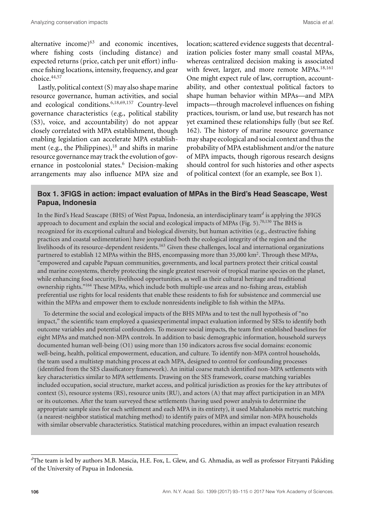alternative income)<sup>63</sup> and economic incentives, where fishing costs (including distance) and expected returns (price, catch per unit effort) influence fishing locations, intensity, frequency, and gear choice.44,57

Lastly, political context (S) may also shape marine resource governance, human activities, and social and ecological conditions.6,18,69,157 Country-level governance characteristics (e.g., political stability (S3), voice, and accountability) do not appear closely correlated with MPA establishment, though enabling legislation can accelerate MPA establishment (e.g., the Philippines), $^{18}$  and shifts in marine resource governance may track the evolution of governance in postcolonial states.<sup>6</sup> Decision-making arrangements may also influence MPA size and location; scattered evidence suggests that decentralization policies foster many small coastal MPAs, whereas centralized decision making is associated with fewer, larger, and more remote MPAs.<sup>18,161</sup> One might expect rule of law, corruption, accountability, and other contextual political factors to shape human behavior within MPAs—and MPA impacts—through macrolevel influences on fishing practices, tourism, or land use, but research has not yet examined these relationships fully (but see Ref. 162). The history of marine resource governance may shape ecological and social context and thus the probability of MPA establishment and/or the nature of MPA impacts, though rigorous research designs should control for such histories and other aspects of political context (for an example, see Box 1).

# **Box 1. 3FIGS in action: impact evaluation of MPAs in the Bird's Head Seascape, West Papua, Indonesia**

In the Bird's Head Seascape (BHS) of West Papua, Indonesia, an interdisciplinary team*<sup>d</sup>* is applying the 3FIGS approach to document and explain the social and ecological impacts of MPAs (Fig. 5).<sup>70,130</sup> The BHS is recognized for its exceptional cultural and biological diversity, but human activities (e.g., destructive fishing practices and coastal sedimentation) have jeopardized both the ecological integrity of the region and the livelihoods of its resource-dependent residents.163 Given these challenges, local and international organizations partnered to establish 12 MPAs within the BHS, encompassing more than 35,000 km<sup>2</sup>. Through these MPAs, "empowered and capable Papuan communities, governments, and local partners protect their critical coastal and marine ecosystems, thereby protecting the single greatest reservoir of tropical marine species on the planet, while enhancing food security, livelihood opportunities, as well as their cultural heritage and traditional ownership rights."164 These MPAs, which include both multiple-use areas and no-fishing areas, establish preferential use rights for local residents that enable these residents to fish for subsistence and commercial use within the MPAs and empower them to exclude nonresidents ineligible to fish within the MPAs.

To determine the social and ecological impacts of the BHS MPAs and to test the null hypothesis of "no impact," the scientific team employed a quasiexperimental impact evaluation informed by SESs to identify both outcome variables and potential confounders. To measure social impacts, the team first established baselines for eight MPAs and matched non-MPA controls. In addition to basic demographic information, household surveys documented human well-being (O1) using more than 150 indicators across five social domains: economic well-being, health, political empowerment, education, and culture. To identify non-MPA control households, the team used a multistep matching process at each MPA, designed to control for confounding processes (identified from the SES classificatory framework). An initial coarse match identified non-MPA settlements with key characteristics similar to MPA settlements. Drawing on the SES framework, coarse matching variables included occupation, social structure, market access, and political jurisdiction as proxies for the key attributes of context (S), resource systems (RS), resource units (RU), and actors (A) that may affect participation in an MPA or its outcomes. After the team surveyed these settlements (having used power analysis to determine the appropriate sample sizes for each settlement and each MPA in its entirety), it used Mahalanobis metric matching (a nearest-neighbor statistical matching method) to identify pairs of MPA and similar non-MPA households with similar observable characteristics. Statistical matching procedures, within an impact evaluation research

*<sup>d</sup>*The team is led by authors M.B. Mascia, H.E. Fox, L. Glew, and G. Ahmadia, as well as professor Fitryanti Pakiding of the University of Papua in Indonesia.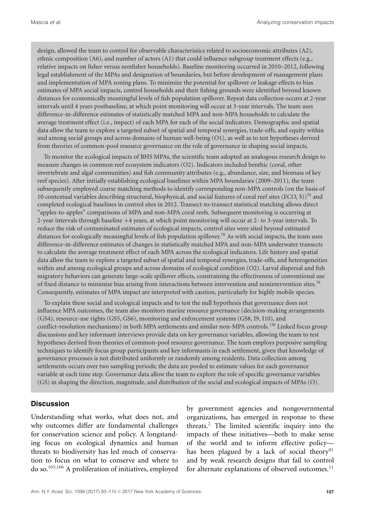design, allowed the team to control for observable characteristics related to socioeconomic attributes (A2), ethnic composition (A6), and number of actors (A1) that could influence subgroup treatment effects (e.g., relative impacts on fisher versus nonfisher households). Baseline monitoring occurred in 2010–2012, following legal establishment of the MPAs and designation of boundaries, but before development of management plans and implementation of MPA zoning plans. To minimize the potential for spillover or leakage effects to bias estimates of MPA social impacts, control households and their fishing grounds were identified beyond known distances for economically meaningful levels of fish population spillover. Repeat data collection occurs at 2-year intervals until 4 years postbaseline, at which point monitoring will occur at 3-year intervals. The team uses difference-in-difference estimates of statistically matched MPA and non-MPA households to calculate the average treatment effect (i.e., impact) of each MPA for each of the social indicators. Demographic and spatial data allow the team to explore a targeted subset of spatial and temporal synergies, trade-offs, and equity within and among social groups and across domains of human well-being (O1), as well as to test hypotheses derived from theories of common-pool resource governance on the role of governance in shaping social impacts.

To monitor the ecological impacts of BHS MPAs, the scientific team adopted an analogous research design to measure changes in common reef ecosystem indicators (O2). Indicators included benthic (coral, other invertebrate and algal communities) and fish community attributes (e.g., abundance, size, and biomass of key reef species). After initially establishing ecological baselines within MPA boundaries (2009–2011), the team subsequently employed coarse matching methods to identify corresponding non-MPA controls (on the basis of 10 contextual variables describing structural, biophysical, and social features of coral reef sites  $(ECO, S)<sup>70</sup>$  and completed ecological baselines in control sites in 2012. Transect-to-transect statistical matching allows direct "apples-to-apples" comparisons of MPA and non-MPA coral reefs. Subsequent monitoring is occurring at 2-year intervals through baseline +4 years, at which point monitoring will occur at 2- to 3-year intervals. To reduce the risk of contaminated estimates of ecological impacts, control sites were sited beyond estimated distances for ecologically meaningful levels of fish population spillover.<sup>70</sup> As with social impacts, the team uses difference-in-difference estimates of changes in statistically matched MPA and non-MPA underwater transects to calculate the average treatment effect of each MPA across the ecological indicators. Life history and spatial data allow the team to explore a targeted subset of spatial and temporal synergies, trade-offs, and heterogeneities within and among ecological groups and across domains of ecological condition (O2). Larval dispersal and fish migratory behaviors can generate large-scale spillover effects, constraining the effectiveness of conventional use of fixed distance to minimize bias arising from interactions between intervention and nonintervention sites.<sup>70</sup> Consequently, estimates of MPA impact are interpreted with caution, particularly for highly mobile species.

To explain these social and ecological impacts and to test the null hypothesis that governance does not influence MPA outcomes, the team also monitors marine resource governance (decision-making arrangements (GS4), resource-use rights (GS5, GS6), monitoring and enforcement systems (GS8, I9, I10), and conflict-resolution mechanisms) in both MPA settlements and similar non-MPA controls.130 Linked focus group discussions and key informant interviews provide data on key governance variables, allowing the team to test hypotheses derived from theories of common-pool resource governance. The team employs purposive sampling techniques to identify focus group participants and key informants in each settlement, given that knowledge of governance processes is not distributed uniformly or randomly among residents. Data collection among settlements occurs over two sampling periods; the data are pooled to estimate values for each governance variable at each time step. Governance data allow the team to explore the role of specific governance variables (GS) in shaping the direction, magnitude, and distribution of the social and ecological impacts of MPAs (O).

## **Discussion**

Understanding what works, what does not, and why outcomes differ are fundamental challenges for conservation science and policy. A longstanding focus on ecological dynamics and human threats to biodiversity has led much of conservation to focus on what to conserve and where to do so.165,166 A proliferation of initiatives, employed by government agencies and nongovernmental organizations, has emerged in response to these threats.<sup>2</sup> The limited scientific inquiry into the impacts of these initiatives—both to make sense of the world and to inform effective policy has been plagued by a lack of social theory<sup>91</sup> and by weak research designs that fail to control for alternate explanations of observed outcomes. $^{11}$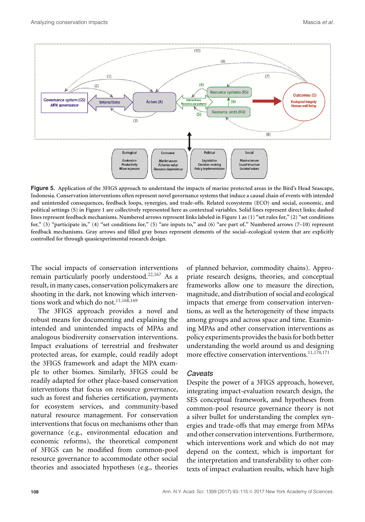

**Figure 5. Application of the 3FIGS approach to understand the impacts of marine protected areas in the Bird's Head Seascape, Indonesia. Conservation interventions often represent novel governance systems that induce a causal chain of events with intended and unintended consequences, feedback loops, synergies, and trade-offs. Related ecosystems (ECO) and social, economic, and political settings (S) in Figure 1 are collectively represented here as contextual variables. Solid lines represent direct links; dashed lines represent feedback mechanisms. Numbered arrows represent links labeled in Figure 1 as (1) "set rules for," (2) "set conditions for," (3) "participate in," (4) "set conditions for," (5) "are inputs to," and (6) "are part of." Numbered arrows (7–10) represent feedback mechanisms. Gray arrows and filled gray boxes represent elements of the social–ecological system that are explicitly controlled for through quasiexperimental research design.**

The social impacts of conservation interventions remain particularly poorly understood.<sup>22,167</sup> As a result, in many cases, conservation policymakers are shooting in the dark, not knowing which interventions work and which do not.<sup>11,168,169</sup>

The 3FIGS approach provides a novel and robust means for documenting and explaining the intended and unintended impacts of MPAs and analogous biodiversity conservation interventions. Impact evaluations of terrestrial and freshwater protected areas, for example, could readily adopt the 3FIGS framework and adapt the MPA example to other biomes. Similarly, 3FIGS could be readily adapted for other place-based conservation interventions that focus on resource governance, such as forest and fisheries certification, payments for ecosystem services, and community-based natural resource management. For conservation interventions that focus on mechanisms other than governance (e.g., environmental education and economic reforms), the theoretical component of 3FIGS can be modified from common-pool resource governance to accommodate other social theories and associated hypotheses (e.g., theories

of planned behavior, commodity chains). Appropriate research designs, theories, and conceptual frameworks allow one to measure the direction, magnitude, and distribution of social and ecological impacts that emerge from conservation interventions, as well as the heterogeneity of these impacts among groups and across space and time. Examining MPAs and other conservation interventions as policy experiments provides the basis for both better understanding the world around us and designing more effective conservation interventions.<sup>11,170,171</sup>

## *Caveats*

Despite the power of a 3FIGS approach, however, integrating impact-evaluation research design, the SES conceptual framework, and hypotheses from common-pool resource governance theory is not a silver bullet for understanding the complex synergies and trade-offs that may emerge from MPAs and other conservation interventions. Furthermore, which interventions work and which do not may depend on the context, which is important for the interpretation and transferability to other contexts of impact evaluation results, which have high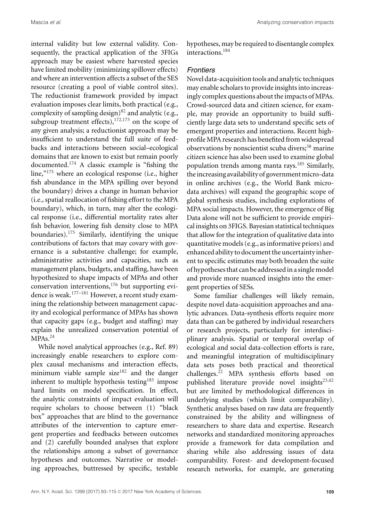internal validity but low external validity. Consequently, the practical application of the 3FIGs approach may be easiest where harvested species have limited mobility (minimizing spillover effects) and where an intervention affects a subset of the SES resource (creating a pool of viable control sites). The reductionist framework provided by impact evaluation imposes clear limits, both practical (e.g., complexity of sampling design)<sup>82</sup> and analytic (e.g., subgroup treatment effects), $172,173$  on the scope of any given analysis; a reductionist approach may be insufficient to understand the full suite of feedbacks and interactions between social–ecological domains that are known to exist but remain poorly documented.<sup>174</sup> A classic example is "fishing the line,"175 where an ecological response (i.e., higher fish abundance in the MPA spilling over beyond the boundary) drives a change in human behavior (i.e., spatial reallocation of fishing effort to the MPA boundary), which, in turn, may alter the ecological response (i.e., differential mortality rates alter fish behavior, lowering fish density close to MPA boundaries).<sup>175</sup> Similarly, identifying the unique contributions of factors that may covary with governance is a substantive challenge; for example, administrative activities and capacities, such as management plans, budgets, and staffing, have been hypothesized to shape impacts of MPAs and other conservation interventions, $176$  but supporting evidence is weak.177–181 However, a recent study examining the relationship between management capacity and ecological performance of MPAs has shown that capacity gaps (e.g., budget and staffing) may explain the unrealized conservation potential of  $MPAs.<sup>24</sup>$ 

While novel analytical approaches (e.g., Ref. 89) increasingly enable researchers to explore complex causal mechanisms and interaction effects, minimum viable sample size<sup>182</sup> and the danger inherent to multiple hypothesis testing $183$  impose hard limits on model specification. In effect, the analytic constraints of impact evaluation will require scholars to choose between (1) "black box" approaches that are blind to the governance attributes of the intervention to capture emergent properties and feedbacks between outcomes and (2) carefully bounded analyses that explore the relationships among a subset of governance hypotheses and outcomes. Narrative or modeling approaches, buttressed by specific, testable hypotheses, may be required to disentangle complex interactions.<sup>184</sup>

#### *Frontiers*

Novel data-acquisition tools and analytic techniques may enable scholars to provide insights into increasingly complex questions about the impacts of MPAs. Crowd-sourced data and citizen science, for example, may provide an opportunity to build sufficiently large data sets to understand specific sets of emergent properties and interactions. Recent highprofile MPA research has benefited from widespread observations by nonscientist scuba divers;<sup>38</sup> marine citizen science has also been used to examine global population trends among manta rays.<sup>185</sup> Similarly, the increasing availability of government micro-data in online archives (e.g., the World Bank microdata archives) will expand the geographic scope of global synthesis studies, including explorations of MPA social impacts. However, the emergence of Big Data alone will not be sufficient to provide empirical insights on 3FIGS. Bayesian statistical techniques that allow for the integration of qualitative data into quantitative models (e.g., as informative priors) and enhanced ability to document the uncertainty inherent to specific estimates may both broaden the suite of hypotheses that can be addressed in a singlemodel and provide more nuanced insights into the emergent properties of SESs.

Some familiar challenges will likely remain, despite novel data-acquisition approaches and analytic advances. Data-synthesis efforts require more data than can be gathered by individual researchers or research projects, particularly for interdisciplinary analysis. Spatial or temporal overlap of ecological and social data-collection efforts is rare, and meaningful integration of multidisciplinary data sets poses both practical and theoretical challenges.22 MPA synthesis efforts based on published literature provide novel insights $23,42$ but are limited by methodological differences in underlying studies (which limit comparability). Synthetic analyses based on raw data are frequently constrained by the ability and willingness of researchers to share data and expertise. Research networks and standardized monitoring approaches provide a framework for data compilation and sharing while also addressing issues of data comparability. Forest- and development-focused research networks, for example, are generating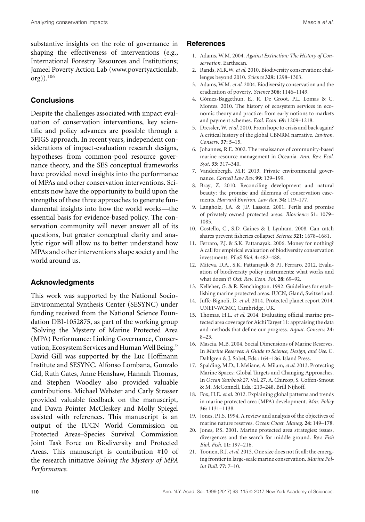# **Conclusions**

Despite the challenges associated with impact evaluation of conservation interventions, key scientific and policy advances are possible through a 3FIGS approach. In recent years, independent considerations of impact-evaluation research designs, hypotheses from common-pool resource governance theory, and the SES conceptual frameworks have provided novel insights into the performance of MPAs and other conservation interventions. Scientists now have the opportunity to build upon the strengths of these three approaches to generate fundamental insights into how the world works—the essential basis for evidence-based policy. The conservation community will never answer all of its questions, but greater conceptual clarity and analytic rigor will allow us to better understand how MPAs and other interventions shape society and the world around us.

## **Acknowledgments**

This work was supported by the National Socio-Environmental Synthesis Center (SESYNC) under funding received from the National Science Foundation DBI-1052875, as part of the working group *"*Solving the Mystery of Marine Protected Area (MPA) Performance: Linking Governance, Conservation, Ecosystem Services and Human Well Being." David Gill was supported by the Luc Hoffmann Institute and SESYNC. Alfonso Lombana, Gonzalo Cid, Ruth Gates, Anne Henshaw, Hannah Thomas, and Stephen Woodley also provided valuable contributions. Michael Webster and Carly Strasser provided valuable feedback on the manuscript, and Dawn Pointer McCleskey and Molly Spiegel assisted with references. This manuscript is an output of the IUCN World Commission on Protected Areas–Species Survival Commission Joint Task Force on Biodiversity and Protected Areas. This manuscript is contribution #10 of the research initiative *Solving the Mystery of MPA Performance.*

#### **References**

- 1. Adams, W.M. 2004. *Against Extinction: The History of Conservation*. Earthscan.
- 2. Rands, M.R.W. *et al*. 2010. Biodiversity conservation: challenges beyond 2010. *Science* **329:** 1298–1303.
- 3. Adams, W.M.*et al*. 2004. Biodiversity conservation and the eradication of poverty. *Science* **306:** 1146–1149.
- 4. Gómez-Baggethun, E., R. De Groot, P.L. Lomas & C. Montes. 2010. The history of ecosystem services in economic theory and practice: from early notions to markets and payment schemes. *Ecol. Econ.* **69:** 1209–1218.
- 5. Dressler, W.*et al*. 2010. From hope to crisis and back again? A critical history of the global CBNRM narrative. *Environ. Conserv*. **37:** 5–15.
- 6. Johannes, R.E. 2002. The renaissance of community-based marine resource management in Oceania. *Ann. Rev. Ecol. Syst.* **33:** 317–340.
- 7. Vandenbergh, M.P. 2013. Private environmental governance. *Cornell Law Rev.* **99:** 129–199.
- 8. Bray, Z. 2010. Reconciling development and natural beauty: the promise and dilemma of conservation easements. *Harvard Environ. Law Rev.* **34:** 119–177.
- 9. Langholz, J.A. & J.P. Lassoie. 2001. Perils and promise of privately owned protected areas. *Bioscience* **51:** 1079– 1085.
- 10. Costello, C., S.D. Gaines & J. Lynham. 2008. Can catch shares prevent fisheries collapse? *Science* **321:** 1678–1681.
- 11. Ferraro, P.J. & S.K. Pattanayak. 2006. Money for nothing? A call for empirical evaluation of biodiversity conservation investments. *PLoS Biol.* **4:** 482–488.
- 12. Miteva, D.A., S.K. Pattanayak & P.J. Ferraro. 2012. Evaluation of biodiversity policy instruments: what works and what doesn't? *Oxf. Rev. Econ. Pol.* **28:** 69–92.
- 13. Kelleher, G. & R. Kenchington. 1992. Guidelines for establishing marine protected areas. IUCN, Gland, Switzerland.
- 14. Juffe-Bignoli, D. *et al*. 2014. Protected planet report 2014. UNEP-WCMC, Cambridge, UK.
- 15. Thomas, H.L. *et al*. 2014. Evaluating official marine protected area coverage for Aichi Target 11: appraising the data and methods that define our progress. *Aquat. Conserv.* **24:** 8–23.
- 16. Mascia, M.B. 2004. Social Dimensions of Marine Reserves. In *Marine Reserves: A Guide to Science, Design, and Use*. C. Dahlgren & J. Sobel, Eds.: 164–186. Island Press.
- 17. Spalding, M.D., I. Meliane, A. Milam,*et al*. 2013. Protecting Marine Spaces: Global Targets and Changing Approaches. In *Ocean Yearbook 27*. Vol. 27. A. Chircop, S. Coffen-Smout & M. McConnell, Eds.: 213–248. Brill Nijhoff.
- 18. Fox, H.E. *et al*. 2012. Explaining global patterns and trends in marine protected area (MPA) development. *Mar. Policy* **36:** 1131–1138.
- 19. Jones, P.J.S. 1994. A review and analysis of the objectives of marine nature reserves. *Ocean Coast. Manag.* **24:** 149–178.
- 20. Jones, P.S. 2001. Marine protected area strategies: issues, divergences and the search for middle ground. *Rev. Fish Biol. Fish.* **11:** 197–216.
- 21. Toonen, R.J.*et al*. 2013. One size does not fit all: the emerging frontier in large-scale marine conservation. *Marine Pollut Bull.* **77:** 7–10.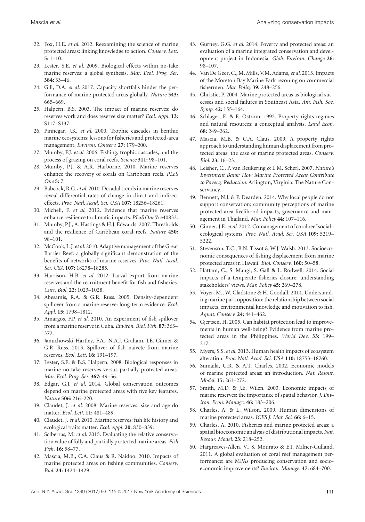- 22. Fox, H.E. *et al*. 2012. Reexamining the science of marine protected areas: linking knowledge to action. *Conserv. Lett.* **5:** 1–10.
- 23. Lester, S.E. *et al*. 2009. Biological effects within no-take marine reserves: a global synthesis. *Mar. Ecol. Prog. Ser.* **384:** 33–46.
- 24. Gill, D.A. *et al*. 2017. Capacity shortfalls hinder the performance of marine protected areas globally. *Nature* **543:** 665–669.
- 25. Halpern, B.S. 2003. The impact of marine reserves: do reserves work and does reserve size matter? *Ecol. Appl.* **13:** S117–S137.
- 26. Pinnegar, J.K. *et al*. 2000. Trophic cascades in benthic marine ecosystems: lessons for fisheries and protected-area management. *Environ. Conserv.* **27:** 179–200.
- 27. Mumby, P.J. *et al*. 2006. Fishing, trophic cascades, and the process of grazing on coral reefs. *Science* **311:** 98–101.
- 28. Mumby, P.J. & A.R. Harborne. 2010. Marine reserves enhance the recovery of corals on Caribbean reefs. *PLoS One* **5:** 7.
- 29. Babcock, R.C.*et al*. 2010. Decadal trends in marine reserves reveal differential rates of change in direct and indirect effects. *Proc. Natl. Acad. Sci. USA* **107:** 18256–18261.
- 30. Micheli, F. *et al*. 2012. Evidence that marine reserves enhance resilience to climatic impacts. *PLoS One* **7:** e40832.
- 31. Mumby, P.J., A. Hastings & H.J. Edwards. 2007. Thresholds and the resilience of Caribbean coral reefs. *Nature* **450:** 98–101.
- 32. McCook, L.J.*et al*. 2010. Adaptive management of the Great Barrier Reef: a globally significant demonstration of the benefits of networks of marine reserves. *Proc. Natl. Acad. Sci. USA* **107:** 18278–18285.
- 33. Harrison, H.B. *et al*. 2012. Larval export from marine reserves and the recruitment benefit for fish and fisheries. *Curr. Biol.* **22:** 1023–1028.
- 34. Abesamis, R.A. & G.R. Russ. 2005. Density-dependent spillover from a marine reserve: long-term evidence. *Ecol. Appl.* **15:** 1798–1812.
- 35. Amargos, F.P. *et al*. 2010. An experiment of fish spillover from a marine reserve in Cuba. *Environ. Biol. Fish.* **87:** 363– 372.
- 36. Januchowski-Hartley, F.A., N.A.J. Graham, J.E. Cinner & G.R. Russ. 2013. Spillover of fish naivete from marine reserves. *Ecol. Lett.* **16:** 191–197.
- 37. Lester, S.E. & B.S. Halpern. 2008. Biological responses in marine no-take reserves versus partially protected areas. *Mar. Ecol. Prog. Ser.* **367:** 49–56.
- 38. Edgar, G.J. *et al*. 2014. Global conservation outcomes depend on marine protected areas with five key features. *Nature* **506:** 216–220.
- 39. Claudet, J. *et al*. 2008. Marine reserves: size and age do matter. *Ecol. Lett.* **11:** 481–489.
- 40. Claudet, J. *et al*. 2010. Marine reserves: fish life history and ecological traits matter. *Ecol. Appl.* **20:** 830–839.
- 41. Sciberras, M. *et al*. 2015. Evaluating the relative conservation value of fully and partially protected marine areas. *Fish Fish*. **16:** 58–77.
- 42. Mascia, M.B., C.A. Claus & R. Naidoo. 2010. Impacts of marine protected areas on fishing communities. *Conserv. Biol.* **24:** 1424–1429.
- 43. Gurney, G.G. *et al*. 2014. Poverty and protected areas: an evaluation of a marine integrated conservation and development project in Indonesia. *Glob. Environ. Change* **26:** 98–107.
- 44. Van De Geer, C., M. Mills, V.M. Adams,*et al*. 2013. Impacts of the Moreton Bay Marine Park rezoning on commercial fishermen. *Mar. Policy* **39:** 248–256.
- 45. Christie, P. 2004. Marine protected areas as biological successes and social failures in Southeast Asia. *Am. Fish. Soc. Symp.* **42:** 155–164.
- 46. Schlager, E. & E. Ostrom. 1992. Property-rights regimes and natural resources: a conceptual analysis. *Land Econ*. **68:** 249–262.
- 47. Mascia, M.B. & C.A. Claus. 2009. A property rights approach to understanding human displacement from protected areas: the case of marine protected areas. *Conserv. Biol.* **23:** 16–23.
- 48. Leisher, C., P. van Beukering & L.M. Scherl. 2007. *Nature's Investment Bank: How Marine Protected Areas Contribute to Poverty Reduction*. Arlington, Virginia: The Nature Conservancy.
- 49. Bennett, N.J. & P. Dearden. 2014. Why local people do not support conservation: community perceptions of marine protected area livelihood impacts, governance and management in Thailand. *Mar. Policy* **44:** 107–116.
- 50. Cinner, J.E.*et al*. 2012. Comanagement of coral reef social– ecological systems. *Proc. Natl. Acad. Sci. USA* **109:** 5219– 5222.
- 51. Stevenson, T.C., B.N. Tissot & W.J. Walsh. 2013. Socioeconomic consequences of fishing displacement from marine protected areas in Hawaii. *Biol. Conserv.* **160:** 50–58.
- 52. Hattam, C., S. Mangi, S. Gall & L. Rodwell. 2014. Social impacts of a temperate fisheries closure: understanding stakeholders' views. *Mar. Policy* **45:** 269–278.
- 53. Voyer, M., W. Gladstone & H. Goodall. 2014. Understanding marine park opposition: the relationship between social impacts, environmental knowledge and motivation to fish. *Aquat. Conserv.* **24:** 441–462.
- 54. Gjertsen, H. 2005. Can habitat protection lead to improvements in human well-being? Evidence from marine protected areas in the Philippines. *World Dev*. **33:** 199– 217.
- 55. Myers, S.S.*et al*. 2013. Human health impacts of ecosystem alteration. *Proc. Natl. Acad. Sci. USA* **110:** 18753–18760.
- 56. Sumaila, U.R. & A.T. Charles. 2002. Economic models of marine protected areas: an introduction. *Nat. Resour. Model.* **15:** 261–272.
- 57. Smith, M.D. & J.E. Wilen. 2003. Economic impacts of marine reserves: the importance of spatial behavior. *J. Environ. Econ. Manage.* **46:** 183–206.
- 58. Charles, A. & L. Wilson. 2009. Human dimensions of marine protected areas. *ICES J. Mar. Sci.* **66:** 6–15.
- 59. Charles, A. 2010. Fisheries and marine protected areas: a spatial bioeconomic analysis of distributional impacts. *Nat. Resour. Model.* **23:** 218–252.
- 60. Hargreaves-Allen, V., S. Mourato & E.J. Milner-Gulland. 2011. A global evaluation of coral reef management performance: are MPAs producing conservation and socioeconomic improvements? *Environ. Manage.* **47:** 684–700.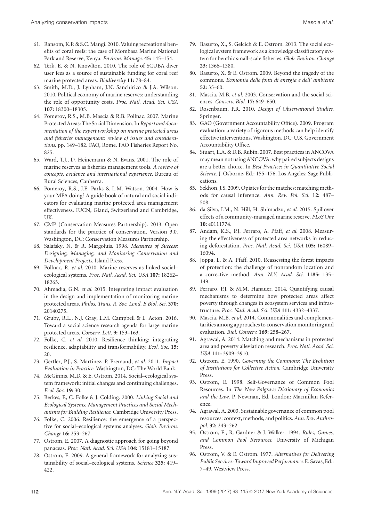- 61. Ransom, K.P. & S.C.Mangi. 2010. Valuing recreational benefits of coral reefs: the case of Mombasa Marine National Park and Reserve, Kenya. *Environ. Manage.* **45:** 145–154.
- 62. Terk, E. & N. Knowlton. 2010. The role of SCUBA diver user fees as a source of sustainable funding for coral reef marine protected areas. *Biodiversity* **11:** 78–84.
- 63. Smith, M.D., J. Lynham, J.N. Sanchirico & J.A. Wilson. 2010. Political economy of marine reserves: understanding the role of opportunity costs. *Proc. Natl. Acad. Sci. USA* **107:** 18300–18305.
- 64. Pomeroy, R.S., M.B. Mascia & R.B. Pollnac. 2007. Marine Protected Areas: The Social Dimension. In*Report and documentation of the expert workshop on marine protected areas and fisheries management: review of issues and considerations*. pp. 149–182. FAO, Rome. FAO Fisheries Report No. 825.
- 65. Ward, T.J., D. Heinemann & N. Evans. 2001. The role of marine reserves as fisheries management tools. *A review of concepts, evidence and international experience*. Bureau of Rural Sciences, Canberra.
- 66. Pomeroy, R.S., J.E. Parks & L.M. Watson. 2004. How is your MPA doing? A guide book of natural and social indicators for evaluating marine protected area management effectiveness. IUCN, Gland, Switzerland and Cambridge, UK.
- 67. CMP (Conservation Measures Partnership). 2013. Open standards for the practice of conservation. Version 3.0. Washington, DC: Conservation Measures Partnership.
- 68. Salafsky, N. & R. Margoluis. 1998. *Measures of Success: Designing, Managing, and Monitoring Conservation and Development Projects*. Island Press.
- 69. Pollnac, R. *et al*. 2010. Marine reserves as linked social– ecological systems. *Proc. Natl. Acad. Sci. USA* **107:** 18262– 18265.
- 70. Ahmadia, G.N. *et al*. 2015. Integrating impact evaluation in the design and implementation of monitoring marine protected areas. *Philos. Trans. R. Soc. Lond. B Biol. Sci.* **370:** 20140275.
- 71. Gruby, R.L., N.J. Gray, L.M. Campbell & L. Acton. 2016. Toward a social science research agenda for large marine protected areas. *Conserv. Lett.* **9:** 153–163.
- 72. Folke, C. *et al*. 2010. Resilience thinking: integrating resilience, adaptability and transformability. *Ecol. Soc.* **15:** 20.
- 73. Gertler, P.J., S. Martinez, P. Premand, *et al*. 2011. *Impact Evaluation in Practice*. Washington, DC: The World Bank.
- 74. McGinnis, M.D. & E. Ostrom. 2014. Social–ecological system framework: initial changes and continuing challenges. *Ecol. Soc.* **19:** 30.
- 75. Berkes, F., C. Folke & J. Colding. 2000. *Linking Social and Ecological Systems: Management Practices and Social Mechanisms for Building Resilience*. Cambridge University Press.
- 76. Folke, C. 2006. Resilience: the emergence of a perspective for social–ecological systems analyses. *Glob. Environ. Change* **16:** 253–267.
- 77. Ostrom, E. 2007. A diagnostic approach for going beyond panaceas. *Proc. Natl. Acad. Sci. USA* **104:** 15181–15187.
- 78. Ostrom, E. 2009. A general framework for analyzing sustainability of social–ecological systems. *Science* **325:** 419– 422.
- 79. Basurto, X., S. Gelcich & E. Ostrom. 2013. The social ecological system framework as a knowledge classificatory system for benthic small-scale fisheries. *Glob. Environ. Change* **23:** 1366–1380.
- 80. Basurto, X. & E. Ostrom. 2009. Beyond the tragedy of the commons. *Economia delle fonti di energia e dell' ambiente* **52:** 35–60.
- 81. Mascia, M.B. *et al*. 2003. Conservation and the social sciences. *Conserv. Biol.* **17:** 649–650.
- 82. Rosenbaum, P.R. 2010. *Design of Observational Studies*. Springer.
- 83. GAO (Government Accountability Office). 2009. Program evaluation: a variety of rigorous methods can help identify effective interventions. Washington, DC: U.S. Government Accountability Office.
- 84. Stuart, E.A. & D.B. Rubin. 2007. Best practices in ANCOVA may mean not using ANCOVA: why paired subjects designs are a better choice. In *Best Practices in Quantitative Social Science*. J. Osborne, Ed.: 155–176. Los Angeles: Sage Publications.
- 85. Sekhon, J.S. 2009. Opiates for the matches: matching methods for causal inference. *Ann. Rev. Pol. Sci.* **12:** 487– 508.
- 86. da Silva, I.M., N. Hill, H. Shimadzu, *et al*. 2015. Spillover effects of a community-managed marine reserve. *PLoS One* **10:** e0111774.
- 87. Andam, K.S., P.J. Ferraro, A. Pfaff, *et al*. 2008. Measuring the effectiveness of protected area networks in reducing deforestation. *Proc. Natl. Acad. Sci. USA* **105:** 16089– 16094.
- 88. Joppa, L. & A. Pfaff. 2010. Reassessing the forest impacts of protection: the challenge of nonrandom location and a corrective method. *Ann. N.Y. Acad. Sci*. **1185:** 135– 149.
- 89. Ferraro, P.J. & M.M. Hanauer. 2014. Quantifying causal mechanisms to determine how protected areas affect poverty through changes in ecosystem services and infrastructure. *Proc. Natl. Acad. Sci. USA* **111:** 4332–4337.
- 90. Mascia, M.B. *et al*. 2014. Commonalities and complementarities among approaches to conservation monitoring and evaluation. *Biol. Conserv.* **169:** 258–267.
- 91. Agrawal, A. 2014. Matching and mechanisms in protected area and poverty alleviation research. *Proc. Natl. Acad. Sci. USA* **111:** 3909–3910.
- 92. Ostrom, E. 1990. *Governing the Commons: The Evolution of Institutions for Collective Action*. Cambridge University Press.
- 93. Ostrom, E. 1998. Self-Governance of Common Pool Resources. In *The New Palgrave Dictionary of Economics and the Law*. P. Newman, Ed. London: Macmillan Reference.
- 94. Agrawal, A. 2003. Sustainable governance of common pool resources: context, methods, and politics.*Ann. Rev. Anthropol.* **32:** 243–262.
- 95. Ostrom, E., R. Gardner & J. Walker. 1994. *Rules, Games, and Common Pool Resources*. University of Michigan Press.
- 96. Ostrom, V. & E. Ostrom. 1977. *Alternatives for Delivering Public Services: Toward Improved Performance*. E. Savas, Ed.: 7–49. Westview Press.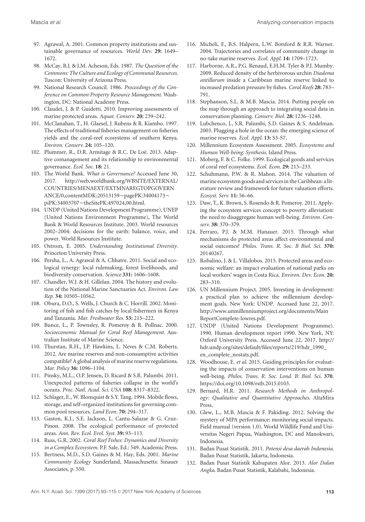- 97. Agrawal, A. 2001. Common property institutions and sustainable governance of resources. *World Dev*. **29:** 1649– 1672.
- 98. McCay, B.J. & J.M. Acheson, Eds. 1987. *The Question of the Commons: The Culture and Ecology of Communal Resources*. Tuscon: University of Arizona Press.
- 99. National Research Council. 1986. *Proceedings of the Conference on Common Property Resource Management*. Washington, DC: National Academy Press.
- 100. Claudet, J. & P. Guidetti. 2010. Improving assessments of marine protected areas. *Aquat. Conserv.* **20:** 239–242.
- 101. McClanahan, T., H. Glaesel, J. Rubens & R. Kiambo. 1997. The effects of traditional fisheries management on fisheries yields and the coral-reef ecosystems of southern Kenya. *Environ. Conserv.* **24:** 105–120.
- 102. Plummer, R., D.R. Armitage & R.C. De Loë. 2013. Adaptive comanagement and its relationship to environmental governance. *Ecol. Soc.* **18:** 21.
- 103. The World Bank. *What is Governance?* Accessed June 30, 2017. [http://web.worldbank.org/WBSITE/EXTERNAL/](http://web.worldbank.org/WBSITE/EXTERNAL/COUNTRIES/MENAEXT/EXTMNAREGTOPGOVERNANCE/0,contentMDK:20513159~pagePK:34004173~piPK:34003707~theSitePK:497024,00.html) [COUNTRIES/MENAEXT/EXTMNAREGTOPGOVERN](http://web.worldbank.org/WBSITE/EXTERNAL/COUNTRIES/MENAEXT/EXTMNAREGTOPGOVERNANCE/0,contentMDK:20513159~pagePK:34004173~piPK:34003707~theSitePK:497024,00.html) [ANCE/0,contentMDK:20513159](http://web.worldbank.org/WBSITE/EXTERNAL/COUNTRIES/MENAEXT/EXTMNAREGTOPGOVERNANCE/0,contentMDK:20513159~pagePK:34004173~piPK:34003707~theSitePK:497024,00.html)~pagePK:34004173~ piPK:34003707~[theSitePK:497024,00.html.](http://web.worldbank.org/WBSITE/EXTERNAL/COUNTRIES/MENAEXT/EXTMNAREGTOPGOVERNANCE/0,contentMDK:20513159~pagePK:34004173~piPK:34003707~theSitePK:497024,00.html)
- 104. UNDP (United Nations Development Programme), UNEP (United Nations Environment Programme), The World Bank & World Resources Institute. 2003. World resources 2002–2004: decisions for the earth: balance, voice, and power. World Resources Institute.
- 105. Ostrom, E. 2005. *Understanding Institutional Diversity*. Princeton University Press.
- 106. Persha, L., A. Agrawal & A. Chhatre. 2011. Social and ecological synergy: local rulemaking, forest livelihoods, and biodiversity conservation. *Science* **331:** 1606–1608.
- 107. Chandler, W.J. & H. Gillelan. 2004. The history and evolution of the National Marine Sanctuaries Act. *Environ. Law Rep.* **34:** 10505–10562.
- 108. Obura, D.O., S. Wells, J. Church & C. Horrill. 2002. Monitoring of fish and fish catches by local fishermen in Kenya and Tanzania. *Mar. Freshwater Res.* **53:** 215–222.
- 109. Bunce, L., P. Townsley, R. Pomeroy & R. Pollnac. 2000. *Socioeconomic Manual for Coral Reef Management*. Australian Institute of Marine Science.
- 110. Thurstan, R.H., J.P. Hawkins, L. Neves & C.M. Roberts. 2012. Are marine reserves and non-consumptive activities compatible? A global analysis of marine reserve regulations. *Mar. Policy* **36:** 1096–1104.
- 111. Pinsky, M.L., O.P. Jensen, D. Ricard & S.R. Palumbi. 2011. Unexpected patterns of fisheries collapse in the world's oceans. *Proc. Natl. Acad. Sci. USA* **108:** 8317–8322.
- 112. Schlager, E., W. Blomquist & S.Y. Tang. 1994. Mobile flows, storage, and self-organized institutions for governing common pool resources. *Land Econ*. **70:** 294–317.
- 113. Gaston, K.J., S.E. Jackson, L. Cantu-Salazar & G. Cruz-Pinon. 2008. The ecological performance of protected areas. *Ann. Rev. Ecol. Evol. Syst.* **39:** 93–113.
- 114. Russ, G.R. 2002. *Coral Reef Fishes: Dynamics and Diversity in a Complex Ecosystem*. P.F. Sale, Ed.: 549. Academic Press.
- 115. Bertness, M.D., S.D. Gaines & M. Hay, Eds. 2001. *Marine Community Ecology* Sunderland, Massachusetts: Sinauer Associates, p. 550.
- 116. Micheli, F., B.S. Halpern, L.W. Botsford & R.R. Warner. 2004. Trajectories and correlates of community change in no-take marine reserves. *Ecol. Appl.* **14:** 1709–1723.
- 117. Harborne, A.R., P.G. Renaud, E.H.M. Tyler & P.J. Mumby. 2009. Reduced density of the herbivorous urchin *Diadema antillarum* inside a Caribbean marine reserve linked to increased predation pressure by fishes. *Coral Reefs* **28:** 783– 791.
- 118. Stephanson, S.L. & M.B. Mascia. 2014. Putting people on the map through an approach to integrating social data in conservation planning. *Conserv. Biol.* **28:** 1236–1248.
- 119. Lubchenco, J., S.R. Palumbi, S.D. Gaines & S. Andelman. 2003. Plugging a hole in the ocean: the emerging science of marine reserves. *Ecol. Appl.* **13:** S3-S7.
- 120. Millennium Ecosystem Assessment. 2005. *Ecosystems and Human Well-being: Synthesis*. Island Press.
- 121. Moberg, F. & C. Folke. 1999. Ecological goods and services of coral reef ecosystems. *Ecol. Econ.* **29:** 215–233.
- 122. Schuhmann, P.W. & R. Mahon. 2014. The valuation of marine ecosystem goods and services in the Caribbean: a literature review and framework for future valuation efforts. *Ecosyst. Serv.* **11:** 56–66.
- 123. Daw, T., K. Brown, S. Rosendo & R. Pomeroy. 2011. Applying the ecosystem services concept to poverty alleviation: the need to disaggregate human well-being. *Environ. Conserv.* **38:** 370–379.
- 124. Ferraro, P.J. & M.M. Hanauer. 2015. Through what mechanisms do protected areas affect environmental and social outcomes? *Philos. Trans. R. Soc. B Biol. Sci.* **370:** 20140267.
- 125. Robalino, J. & L. Villalobos. 2015. Protected areas and economic welfare: an impact evaluation of national parks on local workers' wages in Costa Rica. *Environ. Dev. Econ.* **20:** 283–310.
- 126. UN Millennium Project. 2005. Investing in development: a practical plan to achieve the millennium development goals. New York: UNDP. Accessed June 22, 2017. [http://www.unmillenniumproject.org/documents/Main](http://www.unmillenniumproject.org/documents/MainReportComplete-lowres.pdf) [ReportComplete-lowres.pdf.](http://www.unmillenniumproject.org/documents/MainReportComplete-lowres.pdf)
- 127. UNDP (United Nations Development Programme). 1990. Human development report 1990. New York, NY: Oxford University Press. Accessed June 22, 2017. [http://](http://hdr.undp.org/sites/default/files/reports/219/hdr_1990_en_complete_nostats.pdf) [hdr.undp.org/sites/default/files/reports/219/hdr\\_1990\\_](http://hdr.undp.org/sites/default/files/reports/219/hdr_1990_en_complete_nostats.pdf) [en\\_complete\\_nostats.pdf.](http://hdr.undp.org/sites/default/files/reports/219/hdr_1990_en_complete_nostats.pdf)
- 128. Woodhouse, E. *et al*. 2015. Guiding principles for evaluating the impacts of conservation interventions on human well-being. *Philos. Trans. R. Soc. Lond. B: Biol. Sci.* **370**. [https://doi.org/10.1098/rstb.2015.0103.](https://doi.org/10.1098/rstb.2015.0103)
- 129. Bernard, H.R. 2011. *Research Methods in Anthropology: Qualitative and Quantitative Approaches*. AltaMira Press.
- 130. Glew, L., M.B. Mascia & F. Pakiding. 2012. Solving the mystery of MPA performance: monitoring social impacts. Field manual (version 1.0). World Wildlife Fund and Universitas Negeri Papua, Washington, DC and Manokwari, Indonesia.
- 131. Badan Pusat Statistik. 2011. *Potensi desa daerah Indonesia*. Badan Pusat Statistik, Jakarta, Indonesia.
- 132. Badan Pusat Statistik Kabupaten Alor. 2013. *Alor Dalan Angka*. Badan Pusat Statistik, Kalabahi, Indonesia.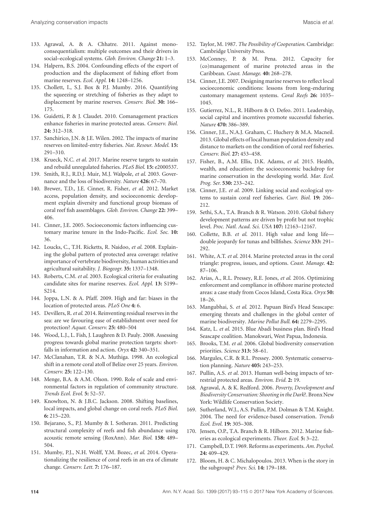- 133. Agrawal, A. & A. Chhatre. 2011. Against monoconsequentialism: multiple outcomes and their drivers in social–ecological systems. *Glob. Environ. Change* **21:** 1–3.
- 134. Halpern, B.S. 2004. Confounding effects of the export of production and the displacement of fishing effort from marine reserves. *Ecol. Appl.* **14:** 1248–1256.
- 135. Chollett, I., S.J. Box & P.J. Mumby. 2016. Quantifying the squeezing or stretching of fisheries as they adapt to displacement by marine reserves. *Conserv. Biol.* **30:** 166– 175.
- 136. Guidetti, P. & J. Claudet. 2010. Comanagement practices enhance fisheries in marine protected areas. *Conserv. Biol.* **24:** 312–318.
- 137. Sanchirico, J.N. & J.E. Wilen. 2002. The impacts of marine reserves on limited-entry fisheries. *Nat. Resour. Model.* **15:** 291–310.
- 138. Krueck, N.C. *et al*. 2017. Marine reserve targets to sustain and rebuild unregulated fisheries. *PLoS Biol*. **15:** e2000537.
- 139. Smith, R.J., R.D.J. Muir, M.J. Walpole, *et al*. 2003. Governance and the loss of biodiversity. *Nature* **426:** 67–70.
- 140. Brewer, T.D., J.E. Cinner, R. Fisher, *et al*. 2012. Market access, population density, and socioeconomic development explain diversity and functional group biomass of coral reef fish assemblages. *Glob. Environ. Change* **22:** 399– 406.
- 141. Cinner, J.E. 2005. Socioeconomic factors influencing customary marine tenure in the Indo-Pacific. *Ecol. Soc.* **10:** 36.
- 142. Loucks, C., T.H. Ricketts, R. Naidoo, *et al*. 2008. Explaining the global pattern of protected area coverage: relative importance of vertebrate biodiversity, human activities and agricultural suitability. *J. Biogeogr.* **35:** 1337–1348.
- 143. Roberts, C.M. *et al*. 2003. Ecological criteria for evaluating candidate sites for marine reserves. *Ecol. Appl.* **13:** S199– S214.
- 144. Joppa, L.N. & A. Pfaff. 2009. High and far: biases in the location of protected areas. *PLoS One* **4:** 6.
- 145. Devillers, R.*et al*. 2014. Reinventing residual reserves in the sea: are we favouring ease of establishment over need for protection? *Aquat. Conserv.* **25:** 480–504
- 146. Wood, L.J., L. Fish, J. Laughren & D. Pauly. 2008. Assessing progress towards global marine protection targets: shortfalls in information and action. *Oryx* **42:** 340–351.
- 147. McClanahan, T.R. & N.A. Muthiga. 1998. An ecological shift in a remote coral atoll of Belize over 25 years. *Environ. Conserv.* **25:** 122–130.
- 148. Menge, B.A. & A.M. Olson. 1990. Role of scale and environmental factors in regulation of community structure. *Trends Ecol. Evol.* **5:** 52–57.
- 149. Knowlton, N. & J.B.C. Jackson. 2008. Shifting baselines, local impacts, and global change on coral reefs. *PLoS Biol*. **6:** 215–220.
- 150. Bejarano, S., P.J. Mumby & I. Sotheran. 2011. Predicting structural complexity of reefs and fish abundance using acoustic remote sensing (RoxAnn). *Mar. Biol.* **158:** 489– 504.
- 151. Mumby, P.J., N.H. Wolff, Y.M. Bozec, *et al*. 2014. Operationalizing the resilience of coral reefs in an era of climate change. *Conserv. Lett.* **7:** 176–187.
- 152. Taylor, M. 1987. *The Possibility of Cooperation*. Cambridge: Cambridge University Press.
- 153. McConney, P. & M. Pena. 2012. Capacity for (co)management of marine protected areas in the Caribbean. *Coast. Manage*. **40:** 268–278.
- 154. Cinner, J.E. 2007. Designing marine reserves to reflect local socioeconomic conditions: lessons from long-enduring customary management systems. *Coral Reefs* **26:** 1035– 1045.
- 155. Gutierrez, N.L., R. Hilborn & O. Defeo. 2011. Leadership, social capital and incentives promote successful fisheries. *Nature* **470:** 386–389.
- 156. Cinner, J.E., N.A.J. Graham, C. Huchery & M.A. Macneil. 2013. Global effects of local human population density and distance to markets on the condition of coral reef fisheries. *Conserv. Biol.* **27:** 453–458.
- 157. Fisher, B., A.M. Ellis, D.K. Adams, *et al*. 2015. Health, wealth, and education: the socioeconomic backdrop for marine conservation in the developing world. *Mar. Ecol. Prog. Ser.* **530:** 233–242.
- 158. Cinner, J.E. *et al*. 2009. Linking social and ecological systems to sustain coral reef fisheries. *Curr. Biol.* **19:** 206– 212.
- 159. Sethi, S.A., T.A. Branch & R. Watson. 2010. Global fishery development patterns are driven by profit but not trophic level. *Proc. Natl. Acad. Sci. USA* **107:** 12163–12167.
- 160. Collette, B.B. *et al*. 2011. High value and long life double jeopardy for tunas and billfishes. *Science* **333:** 291– 292.
- 161. White, A.T. *et al*. 2014. Marine protected areas in the coral triangle: progress, issues, and options. *Coast. Manage.* **42:** 87–106.
- 162. Arias, A., R.L. Pressey, R.E. Jones, *et al*. 2016. Optimizing enforcement and compliance in offshore marine protected areas: a case study from Cocos Island, Costa Rica. *Oryx* **50:** 18–26.
- 163. Mangubhai, S. *et al*. 2012. Papuan Bird's Head Seascape: emerging threats and challenges in the global center of marine biodiversity. *Marine Pollut Bull.* **64:** 2279–2295.
- 164. Katz, L. *et al*. 2015. Blue Abadi business plan. Bird's Head Seascape coalition. Manokwari, West Papua, Indonesia.
- 165. Brooks, T.M. *et al*. 2006. Global biodiversity conservation priorities. *Science* **313:** 58–61.
- 166. Margules, C.R. & R.L. Pressey. 2000. Systematic conservation planning. *Nature* **405:** 243–253.
- 167. Pullin, A.S. *et al*. 2013. Human well-being impacts of terrestrial protected areas. *Environ. Evid.* **2:** 19.
- 168. Agrawal, A. & K. Redford. 2006. *Poverty, Development and Biodiversity Conservation: Shooting inthe Dark*?. Bronx New York: Wildlife Conservation Society.
- 169. Sutherland, W.J., A.S. Pullin, P.M. Dolman & T.M. Knight. 2004. The need for evidence-based conservation. *Trends Ecol. Evol.* **19:** 305–308.
- 170. Jensen, O.P., T.A. Branch & R. Hilborn. 2012. Marine fisheries as ecological experiments. *Theor. Ecol.* **5:** 3–22.
- 171. Campbell, D.T. 1969. Reforms as experiments. *Am. Psychol.* **24:** 409–429.
- 172. Bloom, H. & C. Michalopoulos. 2013. When is the story in the subgroups? *Prev. Sci.* **14:** 179–188.